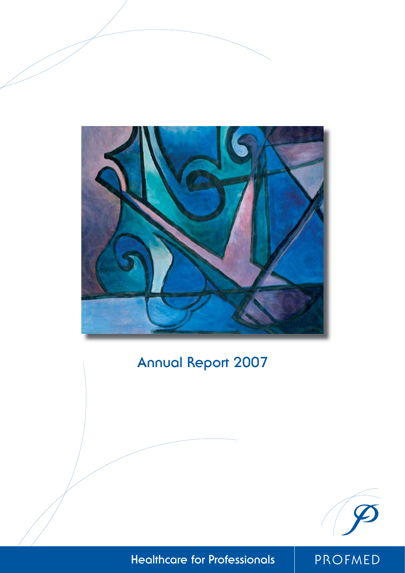

# **Annual Report 2007**



Healthcare for Professionals | PROFMED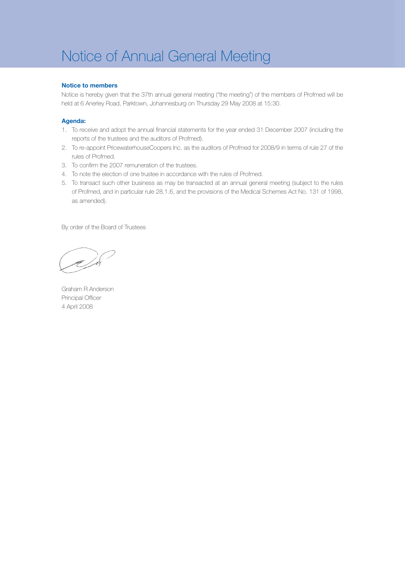## Notice of Annual General Meeting

#### **Notice to members**

Notice is hereby given that the 37th annual general meeting ("the meeting") of the members of Profmed will be held at 6 Anerley Road, Parktown, Johannesburg on Thursday 29 May 2008 at 15:30.

#### **Agenda:**

- 1. To receive and adopt the annual financial statements for the year ended 31 December 2007 (including the reports of the trustees and the auditors of Profmed).
- 2. To re-appoint PricewaterhouseCoopers Inc. as the auditors of Profmed for 2008/9 in terms of rule 27 of the rules of Profmed.
- 3. To confirm the 2007 remuneration of the trustees.
- 4. To note the election of one trustee in accordance with the rules of Profmed.
- 5. To transact such other business as may be transacted at an annual general meeting (subject to the rules of Profmed, and in particular rule 28.1.6, and the provisions of the Medical Schemes Act No. 131 of 1998, as amended).

By order of the Board of Trustees

 $\sum_{i=1}^{n}$ 

Graham R Anderson Principal Officer 4 April 2008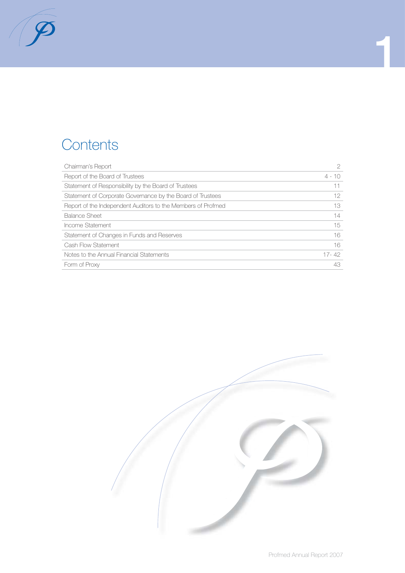# **Contents**

P

| Chairman's Report                                            | 2         |
|--------------------------------------------------------------|-----------|
| Report of the Board of Trustees                              | $4 - 10$  |
| Statement of Responsibility by the Board of Trustees         |           |
| Statement of Corporate Governance by the Board of Trustees   | 12        |
| Report of the Independent Auditors to the Members of Profmed | 13        |
| <b>Balance Sheet</b>                                         | 14        |
| Income Statement                                             | 15        |
| Statement of Changes in Funds and Reserves                   | 16        |
| Cash Flow Statement                                          | 16        |
| Notes to the Annual Financial Statements                     | $17 - 42$ |
| Form of Proxy                                                | 43        |



Profmed Annual Report 2007

**3**

**1**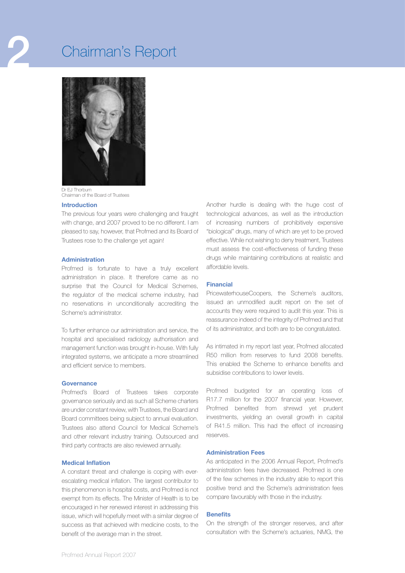### Chairman's Report



Chairman of the Board of Trustees

#### **Introduction**

**2**

The previous four years were challenging and fraught with change, and 2007 proved to be no different. I am pleased to say, however, that Profmed and its Board of Trustees rose to the challenge yet again!

#### **Administration**

Profmed is fortunate to have a truly excellent administration in place. It therefore came as no surprise that the Council for Medical Schemes, the regulator of the medical scheme industry, had no reservations in unconditionally accrediting the Scheme's administrator.

To further enhance our administration and service, the hospital and specialised radiology authorisation and management function was brought in-house. With fully integrated systems, we anticipate a more streamlined and efficient service to members.

#### **Governance**

Profmed's Board of Trustees takes corporate governance seriously and as such all Scheme charters are under constant review, with Trustees, the Board and Board committees being subject to annual evaluation. Trustees also attend Council for Medical Scheme's and other relevant industry training. Outsourced and third party contracts are also reviewed annually.

#### **Medical Inflation**

A constant threat and challenge is coping with everescalating medical inflation. The largest contributor to this phenomenon is hospital costs, and Profmed is not exempt from its effects. The Minister of Health is to be encouraged in her renewed interest in addressing this issue, which will hopefully meet with a similar degree of success as that achieved with medicine costs, to the benefit of the average man in the street.

Another hurdle is dealing with the huge cost of technological advances, as well as the introduction of increasing numbers of prohibitively expensive "biological" drugs, many of which are yet to be proved effective. While not wishing to deny treatment, Trustees must assess the cost-effectiveness of funding these drugs while maintaining contributions at realistic and affordable levels.

#### **Financial**

PricewaterhouseCoopers, the Scheme's auditors, issued an unmodified audit report on the set of accounts they were required to audit this year. This is reassurance indeed of the integrity of Profmed and that of its administrator, and both are to be congratulated.

As intimated in my report last year, Profmed allocated R50 million from reserves to fund 2008 benefits. This enabled the Scheme to enhance benefits and subsidise contributions to lower levels.

Profmed budgeted for an operating loss of R17.7 million for the 2007 financial year. However, Profmed benefited from shrewd yet prudent investments, yielding an overall growth in capital of R41.5 million. This had the effect of increasing reserves.

#### **Administration Fees**

As anticipated in the 2006 Annual Report, Profmed's administration fees have decreased. Profmed is one of the few schemes in the industry able to report this positive trend and the Scheme's administration fees compare favourably with those in the industry.

#### **Benefits**

On the strength of the stronger reserves, and after consultation with the Scheme's actuaries, NMG, the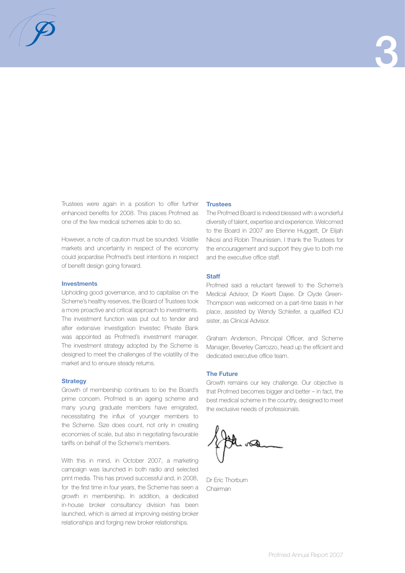



Trustees were again in a position to offer further enhanced benefits for 2008. This places Profmed as one of the few medical schemes able to do so.

However, a note of caution must be sounded. Volatile markets and uncertainty in respect of the economy could jeopardise Profmed's best intentions in respect of benefit design going forward.

#### **Investments**

Upholding good governance, and to capitalise on the Scheme's healthy reserves, the Board of Trustees took a more proactive and critical approach to investments. The investment function was put out to tender and after extensive investigation Investec Private Bank was appointed as Profmed's investment manager. The investment strategy adopted by the Scheme is designed to meet the challenges of the volatility of the market and to ensure steady returns.

#### **Strategy**

Growth of membership continues to be the Board's prime concern. Profmed is an ageing scheme and many young graduate members have emigrated, necessitating the influx of younger members to the Scheme. Size does count, not only in creating economies of scale, but also in negotiating favourable tariffs on behalf of the Scheme's members.

With this in mind, in October 2007, a marketing campaign was launched in both radio and selected print media. This has proved successful and, in 2008, for the first time in four years, the Scheme has seen a growth in membership. In addition, a dedicated in-house broker consultancy division has been launched, which is aimed at improving existing broker relationships and forging new broker relationships.

#### **Trustees**

The Profmed Board is indeed blessed with a wonderful diversity of talent, expertise and experience. Welcomed to the Board in 2007 are Etienne Huggett, Dr Elijah Nkosi and Robin Theunissen. I thank the Trustees for the encouragement and support they give to both me and the executive office staff.

#### **Staff**

Profmed said a reluctant farewell to the Scheme's Medical Advisor, Dr Keerti Dajee. Dr Clyde Green-Thompson was welcomed on a part-time basis in her place, assisted by Wendy Schleifer, a qualified ICU sister, as Clinical Advisor.

Graham Anderson, Principal Officer, and Scheme Manager, Beverley Carrozzo, head up the efficient and dedicated executive office team.

#### **The Future**

Growth remains our key challenge. Our objective is that Profmed becomes bigger and better – in fact, the best medical scheme in the country, designed to meet the exclusive needs of professionals.

Dr Eric Thorburn Chairman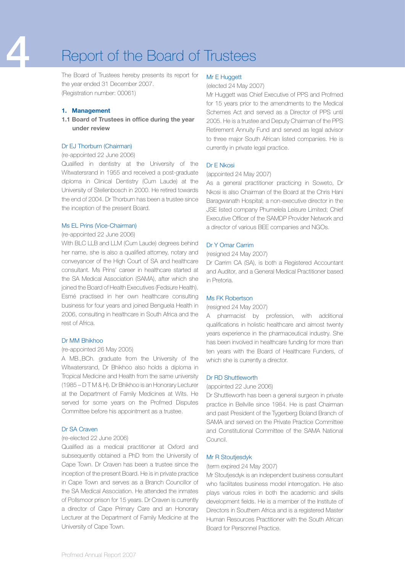### Report of the Board of Trustees

The Board of Trustees hereby presents its report for the year ended 31 December 2007. (Registration number: 00061)

#### **1. Management**

**4**

**1.1 Board of Trustees in office during the year under review** 

#### Dr EJ Thorburn (Chairman)

(re-appointed 22 June 2006)

Qualified in dentistry at the University of the Witwatersrand in 1955 and received a post-graduate diploma in Clinical Dentistry (Cum Laude) at the University of Stellenbosch in 2000. He retired towards the end of 2004. Dr Thorburn has been a trustee since the inception of the present Board.

#### Ms EL Prins (Vice-Chairman)

(re-appointed 22 June 2006)

With BLC LLB and LLM (Cum Laude) degrees behind her name, she is also a qualified attorney, notary and conveyancer of the High Court of SA and healthcare consultant. Ms Prins' career in healthcare started at the SA Medical Association (SAMA), after which she joined the Board of Health Executives (Fedsure Health). Esmé practised in her own healthcare consulting business for four years and joined Benguela Health in 2006, consulting in healthcare in South Africa and the rest of Africa.

#### Dr MM Bhikhoo

#### (re-appointed 26 May 2005)

A MB.,BCh. graduate from the University of the Witwatersrand, Dr Bhikhoo also holds a diploma in Tropical Medicine and Health from the same university (1985 – D T M & H). Dr Bhikhoo is an Honorary Lecturer at the Department of Family Medicines at Wits. He served for some years on the Profmed Disputes Committee before his appointment as a trustee.

#### Dr SA Craven

#### (re-elected 22 June 2006)

Qualified as a medical practitioner at Oxford and subsequently obtained a PhD from the University of Cape Town. Dr Craven has been a trustee since the inception of the present Board. He is in private practice in Cape Town and serves as a Branch Councillor of the SA Medical Association. He attended the inmates of Pollsmoor prison for 15 years. Dr Craven is currently a director of Cape Primary Care and an Honorary Lecturer at the Department of Family Medicine at the University of Cape Town.

#### Mr E Huggett

#### (elected 24 May 2007)

Mr Huggett was Chief Executive of PPS and Profmed for 15 years prior to the amendments to the Medical Schemes Act and served as a Director of PPS until 2005. He is a trustee and Deputy Chairman of the PPS Retirement Annuity Fund and served as legal advisor to three major South African listed companies. He is currently in private legal practice.

#### Dr E Nkosi

#### (appointed 24 May 2007)

As a general practitioner practicing in Soweto, Dr Nkosi is also Chairman of the Board at the Chris Hani Baragwanath Hospital; a non-executive director in the JSE listed company Phumelela Leisure Limited; Chief Executive Officer of the SAMDP Provider Network and a director of various BEE companies and NGOs.

#### Dr Y Omar Carrim

(resigned 24 May 2007)

Dr Carrim CA (SA), is both a Registered Accountant and Auditor, and a General Medical Practitioner based in Pretoria.

#### Ms FK Robertson

#### (resigned 24 May 2007)

A pharmacist by profession, with additional qualifications in holistic healthcare and almost twenty years experience in the pharmaceutical industry. She has been involved in healthcare funding for more than ten years with the Board of Healthcare Funders, of which she is currently a director.

#### Dr RD Shuttleworth

(appointed 22 June 2006)

Dr Shuttleworth has been a general surgeon in private practice in Bellville since 1984. He is past Chairman and past President of the Tygerberg Boland Branch of SAMA and served on the Private Practice Committee and Constitutional Committee of the SAMA National Council.

#### Mr R Stoutjesdyk

#### (term expired 24 May 2007)

Mr Stoutjesdyk is an independent business consultant who facilitates business model interrogation. He also plays various roles in both the academic and skills development fields. He is a member of the Institute of Directors in Southern Africa and is a registered Master Human Resources Practitioner with the South African Board for Personnel Practice.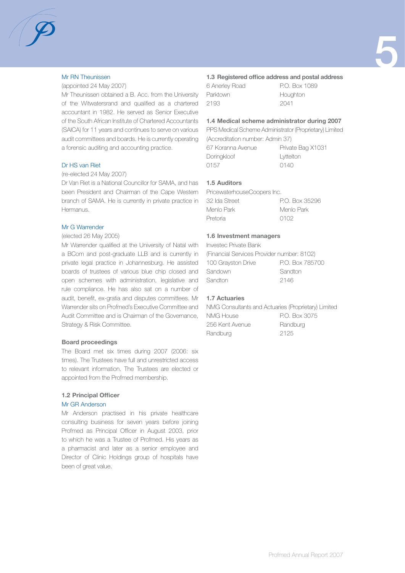

#### Mr RN Theunissen

(appointed 24 May 2007)

Mr Theunissen obtained a B. Acc. from the University of the Witwatersrand and qualified as a chartered accountant in 1982. He served as Senior Executive of the South African Institute of Chartered Accountants (SAICA) for 11 years and continues to serve on various audit committees and boards. He is currently operating a forensic auditing and accounting practice.

#### Dr HS van Riet

#### (re-elected 24 May 2007)

Dr Van Riet is a National Councillor for SAMA, and has **1.5 Auditors** been President and Chairman of the Cape Western branch of SAMA. He is currently in private practice in Hermanus.

#### Mr G Warrender

#### (elected 26 May 2005)

Mr Warrender qualified at the University of Natal with a BCom and post-graduate LLB and is currently in private legal practice in Johannesburg. He assisted boards of trustees of various blue chip closed and open schemes with administration, legislative and rule compliance. He has also sat on a number of audit, benefit, ex-gratia and disputes committees. Mr Warrender sits on Profmed's Executive Committee and Audit Committee and is Chairman of the Governance, Strategy & Risk Committee.

#### **Board proceedings**

The Board met six times during 2007 (2006: six times). The Trustees have full and unrestricted access to relevant information. The Trustees are elected or appointed from the Profmed membership.

#### **1.2 Principal Officer**

#### Mr GR Anderson

Mr Anderson practised in his private healthcare consulting business for seven years before joining Profmed as Principal Officer in August 2003, prior to which he was a Trustee of Profmed. His years as a pharmacist and later as a senior employee and Director of Clinic Holdings group of hospitals have been of great value.

#### 1.3 Registered office address and postal address

| P.O. Box 1089 |
|---------------|
| Houghton      |
| 2041          |
|               |

**5**

#### **1.4 Medical scheme administrator during 2007**

PPS Medical Scheme Administrator (Proprietary) Limited (Accreditation number: Admin 37)

| 67 Koranna Avenue | Private Bag X1031 |
|-------------------|-------------------|
| Doringkloof       | Lyttelton         |
| 0157              | 0140              |

| PricewaterhouseCoopers Inc. |                |
|-----------------------------|----------------|
| 32 Ida Street               | P.O. Box 35296 |
| Menlo Park                  | Menlo Park     |
| Pretoria                    | 0102           |

#### **1.6 Investment managers**

Investec Private Bank (Financial Services Provider number: 8102) 100 Grayston Drive P.O. Box 785700 Sandown Sandton Sandton 2146

#### **1.7 Actuaries**

NMG Consultants and Actuaries (Proprietary) Limited NMG House P.O. Box 3075 256 Kent Avenue Randburg Randburg 2125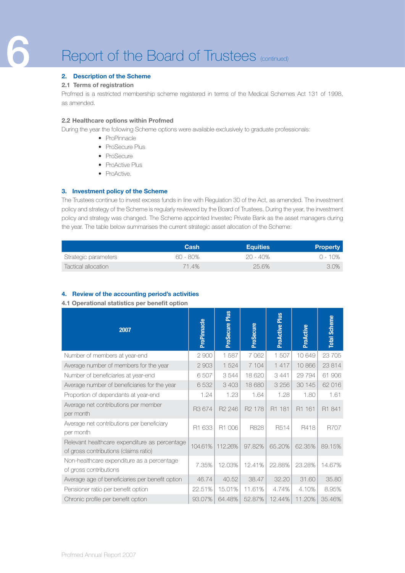#### **2. Description of the Scheme**

#### **2.1 Terms of registration**

**6**

Profmed is a restricted membership scheme registered in terms of the Medical Schemes Act 131 of 1998, as amended.

#### **2.2 Healthcare options within Profmed**

During the year the following Scheme options were available exclusively to graduate professionals:

- ProPinnacle
- ProSecure Plus
- ProSecure
- ProActive Plus
- ProActive.

#### **3. Investment policy of the Scheme**

The Trustees continue to invest excess funds in line with Regulation 30 of the Act, as amended. The investment policy and strategy of the Scheme is regularly reviewed by the Board of Trustees. During the year, the investment policy and strategy was changed. The Scheme appointed Investec Private Bank as the asset managers during the year. The table below summarises the current strategic asset allocation of the Scheme:

|                      | Cash     | <b>Equities</b> | <b>Property</b> |
|----------------------|----------|-----------------|-----------------|
| Strategic parameters | 60 - 80% | 20 - 40%        | $0 - 10\%$      |
| Tactical allocation  | 71.4%    | 25.6%           | 3.0%            |

#### **4. Review of the accounting period's activities**

#### **4.1 Operational statistics per benefit option**

| 2007                                                                                   | ProPinnacle | Plus<br>ProSecure  | ProSecure          | <b>ProActive Plus</b> | ProActive | <b>Total Scheme</b> |
|----------------------------------------------------------------------------------------|-------------|--------------------|--------------------|-----------------------|-----------|---------------------|
| Number of members at year-end                                                          | 2 900       | 1587               | 7 0 6 2            | 1507                  | 10 649    | 23 705              |
| Average number of members for the year                                                 | 2 9 0 3     | 1 5 2 4            | 7 1 0 4            | 1 4 1 7               | 10866     | 23 814              |
| Number of beneficiaries at year-end                                                    | 6507        | 3544               | 18 620             | 3 4 4 1               | 29 7 9 4  | 61 906              |
| Average number of beneficiaries for the year                                           | 6532        | 3 4 0 3            | 18 680             | 3 2 5 6               | 30 145    | 62016               |
| Proportion of dependants at year-end                                                   | 1.24        | 1.23               | 1.64               | 1.28                  | 1.80      | 1.61                |
| Average net contributions per member<br>per month                                      | R3 674      | R <sub>2</sub> 246 | R <sub>2</sub> 178 | R1 181                | R1 161    | R1 841              |
| Average net contributions per beneficiary<br>per month                                 | R1 633      | R1 006             | R828               | R <sub>514</sub>      | R418      | R707                |
| Relevant healthcare expenditure as percentage<br>of gross contributions (claims ratio) | 104.61%     | 112.26%            | 97.82%             | 65.20%                | 62.35%    | 89.15%              |
| Non-healthcare expenditure as a percentage<br>of gross contributions                   | 7.35%       | 12.03%             | 12.41%             | 22.88%                | 23.28%    | 14.67%              |
| Average age of beneficiaries per benefit option                                        | 46.74       | 40.52              | 38.47              | 32.20                 | 31.60     | 35.80               |
| Pensioner ratio per benefit option                                                     | 22.51%      | 15.01%             | 11.61%             | 4.74%                 | 4.10%     | 8.95%               |
| Chronic profile per benefit option                                                     | 93.07%      | 64.48%             | 52.87%             | 12.44%                | 11.20%    | 35.46%              |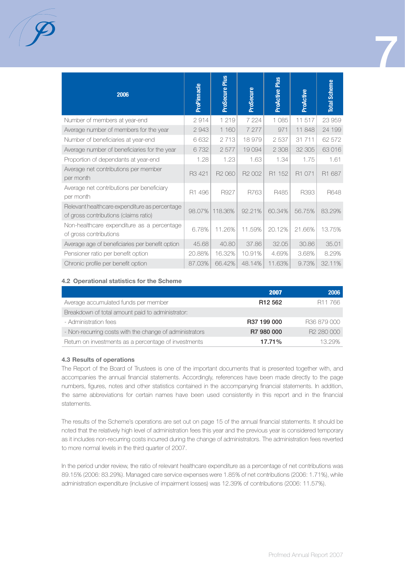| 2006                                                                                   | ProPinnacle        | ProSecure Plus     | ProSecure          | <b>ProActive Plus</b> | ProActive          | <b>Total Scheme</b> |
|----------------------------------------------------------------------------------------|--------------------|--------------------|--------------------|-----------------------|--------------------|---------------------|
| Number of members at year-end                                                          | 2914               | 1 2 1 9            | 7 2 2 4            | 1085                  | 11 517             | 23 959              |
| Average number of members for the year                                                 | 2943               | 1 1 6 0            | 7 2 7 7            | 971                   | 11848              | 24 199              |
| Number of beneficiaries at year-end                                                    | 6632               | 2713               | 18979              | 2537                  | 31 7 11            | 62 572              |
| Average number of beneficiaries for the year                                           | 6732               | 2577               | 19094              | 2 3 0 8               | 32 305             | 63016               |
| Proportion of dependants at year-end                                                   | 1.28               | 1.23               | 1.63               | 1.34                  | 1.75               | 1.61                |
| Average net contributions per member<br>per month                                      | R <sub>3</sub> 421 | R <sub>2</sub> 060 | R <sub>2</sub> 002 | R1 152                | R <sub>1</sub> 071 | R1 687              |
| Average net contributions per beneficiary<br>per month                                 | R1 496             | R927               | R763               | R485                  | R393               | R648                |
| Relevant healthcare expenditure as percentage<br>of gross contributions (claims ratio) | 98.07%             | 118,36%            | 92.21%             | 60.34%                | 56.75%             | 83.29%              |
| Non-healthcare expenditure as a percentage<br>of gross contributions                   | 6.78%              | 11.26%             | 11.59%             | 20.12%                | 21.66%             | 13.75%              |
| Average age of beneficiaries per benefit option                                        | 45.68              | 40.80              | 37.86              | 32.05                 | 30.86              | 35.01               |
| Pensioner ratio per benefit option                                                     | 20.88%             | 16.32%             | 10.91%             | 4.69%                 | 3.68%              | 8.29%               |
| Chronic profile per benefit option                                                     | 87.03%             | 66.42%             | 48.14%             | 11.63%                | 9.73%              | 32.11%              |

#### **4.2 Operational statistics for the Scheme**

|                                                         | 2007                | 2006                   |
|---------------------------------------------------------|---------------------|------------------------|
| Average accumulated funds per member                    | R <sub>12</sub> 562 | R <sub>11</sub> 766    |
| Breakdown of total amount paid to administrator:        |                     |                        |
| - Administration fees                                   | R37 199 000         | B36879000              |
| - Non-recurring costs with the change of administrators | R7 980 000          | R <sub>2</sub> 280 000 |
| Return on investments as a percentage of investments    | 17.71%              | 13.29%                 |

#### **4.3 Results of operations**

The Report of the Board of Trustees is one of the important documents that is presented together with, and accompanies the annual financial statements. Accordingly, references have been made directly to the page numbers, figures, notes and other statistics contained in the accompanying financial statements. In addition, the same abbreviations for certain names have been used consistently in this report and in the financial statements.

The results of the Scheme's operations are set out on page 15 of the annual financial statements. It should be noted that the relatively high level of administration fees this year and the previous year is considered temporary as it includes non-recurring costs incurred during the change of administrators. The administration fees reverted to more normal levels in the third quarter of 2007.

In the period under review, the ratio of relevant healthcare expenditure as a percentage of net contributions was 89.15% (2006: 83.29%). Managed care service expenses were 1.85% of net contributions (2006: 1.71%), while administration expenditure (inclusive of impairment losses) was 12.39% of contributions (2006: 11.57%).

**7**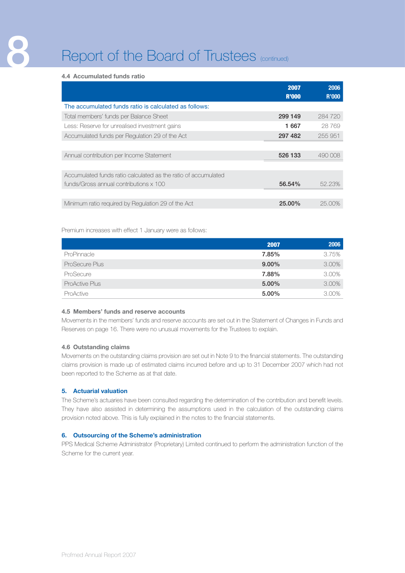# Report of the Board of Trustees (continued)

#### **4.4 Accumulated funds ratio**

|                                                                | 2007<br><b>R'000</b> | 2006<br><b>R'000</b> |
|----------------------------------------------------------------|----------------------|----------------------|
| The accumulated funds ratio is calculated as follows:          |                      |                      |
| Total members' funds per Balance Sheet                         | 299 149              | 284 720              |
| Less: Reserve for unrealised investment gains                  | 1 667                | 28769                |
| Accumulated funds per Regulation 29 of the Act                 | 297 482              | 255951               |
|                                                                |                      |                      |
| Annual contribution per Income Statement                       | 526 133              | 490,008              |
|                                                                |                      |                      |
| Accumulated funds ratio calculated as the ratio of accumulated |                      |                      |
| funds/Gross annual contributions x 100                         | 56.54%               | 52.23%               |
|                                                                |                      |                      |
| Minimum ratio required by Regulation 29 of the Act             | 25.00%               | 25.00%               |

Premium increases with effect 1 January were as follows:

|                | 2007     | 2006  |
|----------------|----------|-------|
| ProPinnacle    | 7.85%    | 3.75% |
| ProSecure Plus | $9.00\%$ | 3.00% |
| ProSecure      | 7.88%    | 3.00% |
| ProActive Plus | 5.00%    | 3.00% |
| ProActive      | 5.00%    | 3.00% |

#### **4.5 Members' funds and reserve accounts**

Movements in the members' funds and reserve accounts are set out in the Statement of Changes in Funds and Reserves on page 16. There were no unusual movements for the Trustees to explain.

#### **4.6 Outstanding claims**

Movements on the outstanding claims provision are set out in Note 9 to the financial statements. The outstanding claims provision is made up of estimated claims incurred before and up to 31 December 2007 which had not been reported to the Scheme as at that date.

#### **5. Actuarial valuation**

The Scheme's actuaries have been consulted regarding the determination of the contribution and benefi t levels. They have also assisted in determining the assumptions used in the calculation of the outstanding claims provision noted above. This is fully explained in the notes to the financial statements.

#### **6. Outsourcing of the Scheme's administration**

PPS Medical Scheme Administrator (Proprietary) Limited continued to perform the administration function of the Scheme for the current year.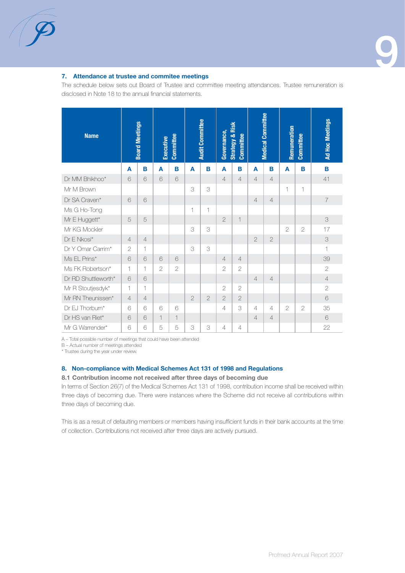



#### **7. Attendance at trustee and commitee meetings**

The schedule below sets out Board of Trustee and committee meeting attendances. Trustee remuneration is disclosed in Note 18 to the annual financial statements.

| <b>Name</b>         |                | <b>Board Meetings</b> | Executive      | Committee      |                | <b>Audit Committee</b> | Governance,    | <b>Strategy &amp; Risk</b><br>Committee |                | <b>Medical Committee</b> | Remuneration   | Committee      | <b>Ad Hoc Meetings</b> |
|---------------------|----------------|-----------------------|----------------|----------------|----------------|------------------------|----------------|-----------------------------------------|----------------|--------------------------|----------------|----------------|------------------------|
|                     | A              | B                     | A              | B              | A              | в                      | A              | B                                       | A              | B                        | A              | B              | B                      |
| Dr MM Bhikhoo*      | 6              | 6                     | 6              | 6              |                |                        | $\overline{4}$ | $\overline{4}$                          | $\overline{4}$ | $\overline{4}$           |                |                | 41                     |
| Mr M Brown          |                |                       |                |                | 3              | 3                      |                |                                         |                |                          | 1              | $\mathbf{1}$   |                        |
| Dr SA Craven*       | 6              | 6                     |                |                |                |                        |                |                                         | $\overline{4}$ | $\overline{4}$           |                |                | $\overline{7}$         |
| Ms G Ho-Tong        |                |                       |                |                | 1              | 1                      |                |                                         |                |                          |                |                |                        |
| Mr E Huggett*       | 5              | 5                     |                |                |                |                        | $\mathcal{P}$  | $\mathbf{1}$                            |                |                          |                |                | 3                      |
| Mr KG Mockler       |                |                       |                |                | 3              | 3                      |                |                                         |                |                          | $\overline{2}$ | $\overline{2}$ | 17                     |
| Dr E Nkosi*         | $\overline{4}$ | $\overline{4}$        |                |                |                |                        |                |                                         | $\overline{2}$ | $\overline{2}$           |                |                | 3                      |
| Dr Y Omar Carrim*   | $\overline{2}$ | 1                     |                |                | 3              | 3                      |                |                                         |                |                          |                |                | $\mathbf 1$            |
| Ms EL Prins*        | 6              | 6                     | 6              | 6              |                |                        | $\overline{4}$ | $\overline{4}$                          |                |                          |                |                | 39                     |
| Ms FK Robertson*    | 1              | $\mathbf{1}$          | $\overline{2}$ | $\overline{2}$ |                |                        | $\overline{2}$ | $\overline{2}$                          |                |                          |                |                | $\overline{2}$         |
| Dr RD Shuttleworth* | 6              | 6                     |                |                |                |                        |                |                                         | $\overline{4}$ | $\overline{4}$           |                |                | $\overline{4}$         |
| Mr R Stoutjesdyk*   | 1              | 1                     |                |                |                |                        | $\overline{2}$ | $\overline{2}$                          |                |                          |                |                | $\overline{2}$         |
| Mr RN Theunissen*   | $\overline{4}$ | $\overline{4}$        |                |                | $\overline{2}$ | $\overline{2}$         | $\overline{2}$ | $\overline{2}$                          |                |                          |                |                | 6                      |
| Dr EJ Thorburn*     | 6              | 6                     | 6              | 6              |                |                        | $\overline{4}$ | 3                                       | 4              | $\overline{4}$           | $\overline{2}$ | $\overline{2}$ | 35                     |
| Dr HS van Riet*     | 6              | 6                     | $\mathbf 1$    | $\mathbf 1$    |                |                        |                |                                         | $\overline{4}$ | $\overline{4}$           |                |                | 6                      |
| Mr G Warrender*     | 6              | 6                     | 5              | 5              | 3              | 3                      | $\overline{4}$ | $\overline{4}$                          |                |                          |                |                | 22                     |

A – Total possible number of meetings that could have been attended

B – Actual number of meetings attended

\* Trustee during the year under review.

#### **8. Non-compliance with Medical Schemes Act 131 of 1998 and Regulations**

#### **8.1 Contribution income not received after three days of becoming due**

In terms of Section 26(7) of the Medical Schemes Act 131 of 1998, contribution income shall be received within three days of becoming due. There were instances where the Scheme did not receive all contributions within three days of becoming due.

This is as a result of defaulting members or members having insufficient funds in their bank accounts at the time of collection. Contributions not received after three days are actively pursued.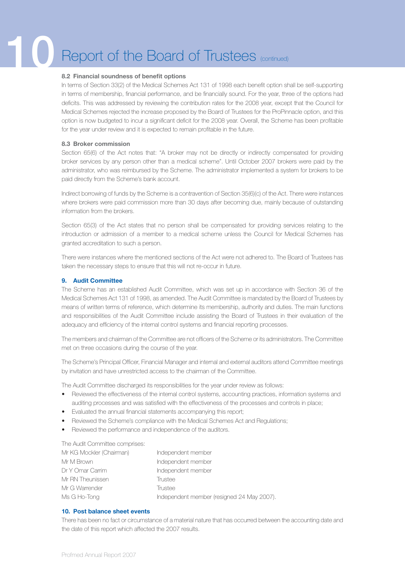# **12** Report of the Board of Trustees (continued)

#### **8.2 Financial soundness of benefit options**

In terms of Section 33(2) of the Medical Schemes Act 131 of 1998 each benefit option shall be self-supporting in terms of membership, financial performance, and be financially sound. For the year, three of the options had deficits. This was addressed by reviewing the contribution rates for the 2008 year, except that the Council for Medical Schemes rejected the increase proposed by the Board of Trustees for the ProPinnacle option, and this option is now budgeted to incur a significant deficit for the 2008 year. Overall, the Scheme has been profitable for the year under review and it is expected to remain profitable in the future.

#### **8.3 Broker commission**

Section 65(6) of the Act notes that: "A broker may not be directly or indirectly compensated for providing broker services by any person other than a medical scheme". Until October 2007 brokers were paid by the administrator, who was reimbursed by the Scheme. The administrator implemented a system for brokers to be paid directly from the Scheme's bank account.

Indirect borrowing of funds by the Scheme is a contravention of Section 35(6)(c) of the Act. There were instances where brokers were paid commission more than 30 days after becoming due, mainly because of outstanding information from the brokers.

Section 65(3) of the Act states that no person shall be compensated for providing services relating to the introduction or admission of a member to a medical scheme unless the Council for Medical Schemes has granted accreditation to such a person.

There were instances where the mentioned sections of the Act were not adhered to. The Board of Trustees has taken the necessary steps to ensure that this will not re-occur in future.

#### **9. Audit Committee**

The Scheme has an established Audit Committee, which was set up in accordance with Section 36 of the Medical Schemes Act 131 of 1998, as amended. The Audit Committee is mandated by the Board of Trustees by means of written terms of reference, which determine its membership, authority and duties. The main functions and responsibilities of the Audit Committee include assisting the Board of Trustees in their evaluation of the adequacy and efficiency of the internal control systems and financial reporting processes.

The members and chairman of the Committee are not officers of the Scheme or its administrators. The Committee met on three occasions during the course of the year.

The Scheme's Principal Officer, Financial Manager and internal and external auditors attend Committee meetings by invitation and have unrestricted access to the chairman of the Committee.

The Audit Committee discharged its responsibilities for the year under review as follows:

- Reviewed the effectiveness of the internal control systems, accounting practices, information systems and auditing processes and was satisfied with the effectiveness of the processes and controls in place;
- Evaluated the annual financial statements accompanying this report;
- Reviewed the Scheme's compliance with the Medical Schemes Act and Regulations;
- Reviewed the performance and independence of the auditors.

#### The Audit Committee comprises:

| Mr KG Mockler (Chairman) | Independent member                         |
|--------------------------|--------------------------------------------|
| Mr M Brown               | Independent member                         |
| Dr Y Omar Carrim         | Independent member                         |
| Mr RN Theunissen         | Trustee                                    |
| Mr G Warrender           | <b>Trustee</b>                             |
| Ms G Ho-Tong             | Independent member (resigned 24 May 2007). |

#### **10. Post balance sheet events**

There has been no fact or circumstance of a material nature that has occurred between the accounting date and the date of this report which affected the 2007 results.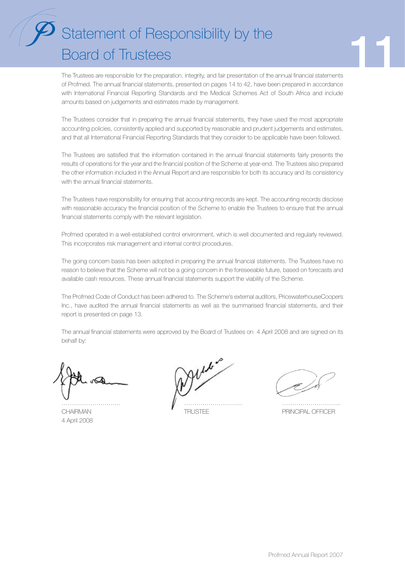# Statement of Responsibility by the Board of Trustees

The Trustees are responsible for the preparation, integrity, and fair presentation of the annual financial statements of Profmed. The annual financial statements, presented on pages 14 to 42, have been prepared in accordance with International Financial Reporting Standards and the Medical Schemes Act of South Africa and include amounts based on judgements and estimates made by management.

The Trustees consider that in preparing the annual financial statements, they have used the most appropriate accounting policies, consistently applied and supported by reasonable and prudent judgements and estimates, and that all International Financial Reporting Standards that they consider to be applicable have been followed.

The Trustees are satisfied that the information contained in the annual financial statements fairly presents the results of operations for the year and the financial position of the Scheme at year-end. The Trustees also prepared the other information included in the Annual Report and are responsible for both its accuracy and its consistency with the annual financial statements.

The Trustees have responsibility for ensuring that accounting records are kept. The accounting records disclose with reasonable accuracy the financial position of the Scheme to enable the Trustees to ensure that the annual financial statements comply with the relevant legislation.

Profmed operated in a well-established control environment, which is well documented and regularly reviewed. This incorporates risk management and internal control procedures.

The going concern basis has been adopted in preparing the annual financial statements. The Trustees have no reason to believe that the Scheme will not be a going concern in the foreseeable future, based on forecasts and available cash resources. These annual financial statements support the viability of the Scheme.

The Profmed Code of Conduct has been adhered to. The Scheme's external auditors, PricewaterhouseCoopers Inc., have audited the annual financial statements as well as the summarised financial statements, and their report is presented on page 13.

The annual financial statements were approved by the Board of Trustees on 4 April 2008 and are signed on its behalf by:

4 April 2008

……………………….. ……………………….. ……………………….. **CHAIRMAN CHAIRMAN** TRUSTEE **PRINCIPAL OFFICER**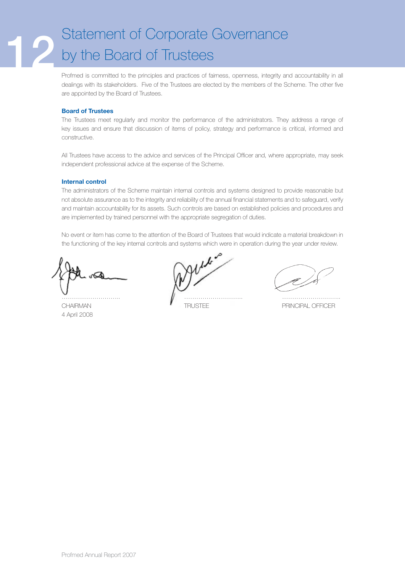

Profmed is committed to the principles and practices of fairness, openness, integrity and accountability in all dealings with its stakeholders. Five of the Trustees are elected by the members of the Scheme. The other five are appointed by the Board of Trustees.

#### **Board of Trustees**

The Trustees meet regularly and monitor the performance of the administrators. They address a range of key issues and ensure that discussion of items of policy, strategy and performance is critical, informed and constructive.

All Trustees have access to the advice and services of the Principal Officer and, where appropriate, may seek independent professional advice at the expense of the Scheme.

#### **Internal control**

The administrators of the Scheme maintain internal controls and systems designed to provide reasonable but not absolute assurance as to the integrity and reliability of the annual financial statements and to safeguard, verify and maintain accountability for its assets. Such controls are based on established policies and procedures and are implemented by trained personnel with the appropriate segregation of duties.

No event or item has come to the attention of the Board of Trustees that would indicate a material breakdown in the functioning of the key internal controls and systems which were in operation during the year under review.

4 April 2008

رملي ……………………….. ……………………….. ………………………..



CHAIRMAN TRUSTEE PRINCIPAL OFFICER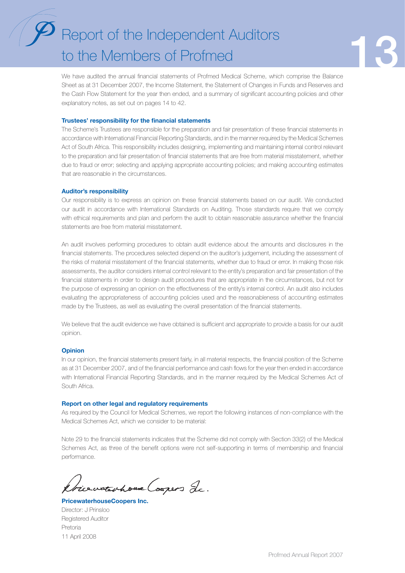# Report of the Independent Auditors to the Members of Profmed

**13**

We have audited the annual financial statements of Profmed Medical Scheme, which comprise the Balance Sheet as at 31 December 2007, the Income Statement, the Statement of Changes in Funds and Reserves and the Cash Flow Statement for the year then ended, and a summary of significant accounting policies and other explanatory notes, as set out on pages 14 to 42.

#### **Trustees' responsibility for the financial statements**

The Scheme's Trustees are responsible for the preparation and fair presentation of these financial statements in accordance with International Financial Reporting Standards, and in the manner required by the Medical Schemes Act of South Africa. This responsibility includes designing, implementing and maintaining internal control relevant to the preparation and fair presentation of financial statements that are free from material misstatement, whether due to fraud or error; selecting and applying appropriate accounting policies; and making accounting estimates that are reasonable in the circumstances.

#### **Auditor's responsibility**

Our responsibility is to express an opinion on these financial statements based on our audit. We conducted our audit in accordance with International Standards on Auditing. Those standards require that we comply with ethical requirements and plan and perform the audit to obtain reasonable assurance whether the financial statements are free from material misstatement.

An audit involves performing procedures to obtain audit evidence about the amounts and disclosures in the financial statements. The procedures selected depend on the auditor's judgement, including the assessment of the risks of material misstatement of the financial statements, whether due to fraud or error. In making those risk assessments, the auditor considers internal control relevant to the entity's preparation and fair presentation of the financial statements in order to design audit procedures that are appropriate in the circumstances, but not for the purpose of expressing an opinion on the effectiveness of the entity's internal control. An audit also includes evaluating the appropriateness of accounting policies used and the reasonableness of accounting estimates made by the Trustees, as well as evaluating the overall presentation of the financial statements.

We believe that the audit evidence we have obtained is sufficient and appropriate to provide a basis for our audit opinion.

#### **Opinion**

In our opinion, the financial statements present fairly, in all material respects, the financial position of the Scheme as at 31 December 2007, and of the financial performance and cash flows for the year then ended in accordance with International Financial Reporting Standards, and in the manner required by the Medical Schemes Act of South Africa.

#### **Report on other legal and regulatory requirements**

As required by the Council for Medical Schemes, we report the following instances of non-compliance with the Medical Schemes Act, which we consider to be material:

Note 29 to the financial statements indicates that the Scheme did not comply with Section 33(2) of the Medical Schemes Act, as three of the benefit options were not self-supporting in terms of membership and financial performance.

Kricewaterhouse Corners Lc.

**PricewaterhouseCoopers Inc.** Director: J Prinsloo Registered Auditor Pretoria 11 April 2008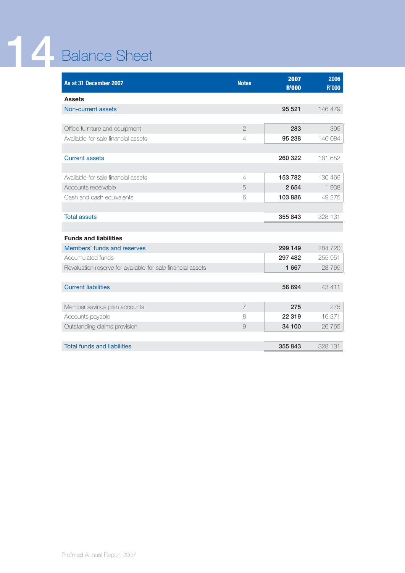# **14** Balance Sheet

| As at 31 December 2007                                      | <b>Notes</b>   | 2007<br><b>R'000</b> | 2006<br><b>R'000</b> |
|-------------------------------------------------------------|----------------|----------------------|----------------------|
| <b>Assets</b>                                               |                |                      |                      |
| Non-current assets                                          |                | 95 521               | 146 479              |
|                                                             |                |                      |                      |
| Office furniture and equipment                              | $\mathcal{P}$  | 283                  | 395                  |
| Available-for-sale financial assets                         | $\overline{4}$ | 95 238               | 146 084              |
|                                                             |                |                      |                      |
| <b>Current assets</b>                                       |                | 260 322              | 181 652              |
|                                                             |                |                      |                      |
| Available-for-sale financial assets                         | $\overline{4}$ | 153 782              | 130 469              |
| Accounts receivable                                         | 5              | 2654                 | 1 908                |
| Cash and cash equivalents                                   | 6              | 103886               | 49 275               |
|                                                             |                |                      |                      |
| <b>Total assets</b>                                         |                | 355 843              | 328 131              |
|                                                             |                |                      |                      |
| <b>Funds and liabilities</b>                                |                |                      |                      |
| Members' funds and reserves                                 |                | 299 149              | 284 720              |
| Accumulated funds                                           |                | 297 482              | 255 951              |
| Revaluation reserve for available-for-sale financial assets |                | 1 6 6 7              | 28769                |
|                                                             |                |                      |                      |
| <b>Current liabilities</b>                                  |                | 56 694               | 43411                |
|                                                             |                |                      |                      |
| Member savings plan accounts                                | $\overline{7}$ | 275                  | 275                  |
| Accounts payable                                            | 8              | 22 319               | 16 371               |
| Outstanding claims provision                                | 9              | 34 100               | 26765                |
|                                                             |                |                      |                      |
| <b>Total funds and liabilities</b>                          |                | 355 843              | 328 131              |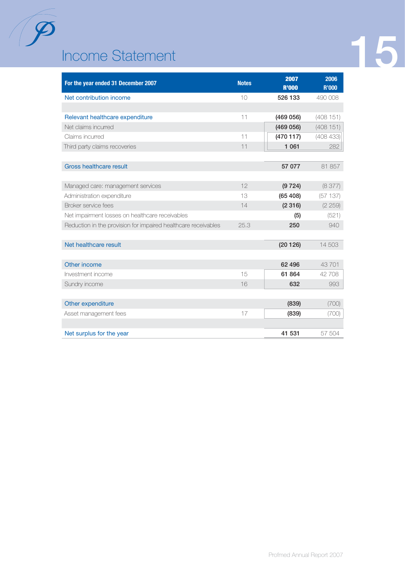

# Income Statement

| For the year ended 31 December 2007                            | <b>Notes</b> | 2007<br><b>R'000</b> | 2006<br><b>R'000</b> |
|----------------------------------------------------------------|--------------|----------------------|----------------------|
| Net contribution income                                        | 10           | 526 133              | 490 008              |
|                                                                |              |                      |                      |
| Relevant healthcare expenditure                                | 11           | (469 056)            | (408 151)            |
| Net claims incurred                                            |              | (469 056)            | (408151)             |
| Claims incurred                                                | 11           | (470117)             | (408 433)            |
| Third party claims recoveries                                  | 11           | 1 0 6 1              | 282                  |
|                                                                |              |                      |                      |
| Gross healthcare result                                        |              | 57 077               | 81 857               |
|                                                                |              |                      |                      |
| Managed care: management services                              | 12           | (9724)               | (8377)               |
| Administration expenditure                                     | 13           | (65 408)             | (57137)              |
| Broker service fees                                            | 14           | (2316)               | (2 259)              |
| Net impairment losses on healthcare receivables                |              | (5)                  | (521)                |
| Reduction in the provision for impaired healthcare receivables | 25.3         | 250                  | 940                  |
|                                                                |              |                      |                      |
| Net healthcare result                                          |              | (20126)              | 14 503               |
|                                                                |              |                      |                      |
| Other income                                                   |              | 62 496               | 43701                |
| Investment income                                              | 15           | 61 864               | 42 708               |
| Sundry income                                                  | 16           | 632                  | 993                  |
|                                                                |              |                      |                      |
| Other expenditure                                              |              | (839)                | (700)                |
| Asset management fees                                          | 17           | (839)                | (700)                |
|                                                                |              |                      |                      |
| Net surplus for the year                                       |              | 41 531               | 57 504               |

**15**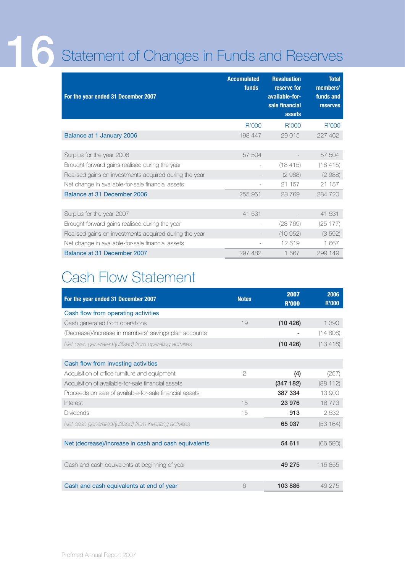Statement of Changes in Funds and Reserves

| For the year ended 31 December 2007                    | <b>Accumulated</b><br><b>funds</b> | <b>Revaluation</b><br>reserve for<br>available-for-<br>sale financial<br>assets | <b>Total</b><br>members'<br>funds and<br><b>reserves</b> |
|--------------------------------------------------------|------------------------------------|---------------------------------------------------------------------------------|----------------------------------------------------------|
|                                                        | R'000                              | R'000                                                                           | R'000                                                    |
| Balance at 1 January 2006                              | 198 447                            | 29 015                                                                          | 227 462                                                  |
|                                                        |                                    |                                                                                 |                                                          |
| Surplus for the year 2006                              | 57 504                             |                                                                                 | 57 504                                                   |
| Brought forward gains realised during the year         |                                    | (18415)                                                                         | (18415)                                                  |
| Realised gains on investments acquired during the year |                                    | (2988)                                                                          | (2988)                                                   |
| Net change in available-for-sale financial assets      |                                    | 21 157                                                                          | 21 157                                                   |
| Balance at 31 December 2006                            | 255 951                            | 28769                                                                           | 284 720                                                  |
|                                                        |                                    |                                                                                 |                                                          |
| Surplus for the year 2007                              | 41 531                             |                                                                                 | 41 531                                                   |
| Brought forward gains realised during the year         |                                    | (28769)                                                                         | (25177)                                                  |
| Realised gains on investments acquired during the year |                                    | (10952)                                                                         | (3592)                                                   |
| Net change in available-for-sale financial assets      |                                    | 12619                                                                           | 1 667                                                    |
| Balance at 31 December 2007                            | 297 482                            | 1667                                                                            | 299 149                                                  |

## Cash Flow Statement

**16**

| For the year ended 31 December 2007                     | <b>Notes</b>  | 2007<br><b>R'000</b> | 2006<br><b>R'000</b> |
|---------------------------------------------------------|---------------|----------------------|----------------------|
| Cash flow from operating activities                     |               |                      |                      |
| Cash generated from operations                          | 19            | (10 426)             | 1 390                |
| (Decrease)/increase in members' savings plan accounts   |               |                      | (14806)              |
| Net cash generated/(utilised) from operating activities |               | (10 426)             | (13 416)             |
|                                                         |               |                      |                      |
| Cash flow from investing activities                     |               |                      |                      |
| Acquisition of office furniture and equipment           | $\mathcal{P}$ | (4)                  | (257)                |
| Acquisition of available-for-sale financial assets      |               | (347182)             | (88112)              |
| Proceeds on sale of available-for-sale financial assets |               | 387 334              | 13 900               |
| Interest                                                | 15            | 23 976               | 18773                |
| <b>Dividends</b>                                        | 15            | 913                  | 2532                 |
| Net cash generated/(utilised) from investing activities |               | 65 037               | (53164)              |
|                                                         |               |                      |                      |
| Net (decrease)/increase in cash and cash equivalents    |               | 54 611               | (66580)              |
|                                                         |               |                      |                      |
| Cash and cash equivalents at beginning of year          |               | 49 275               | 115 855              |
|                                                         |               |                      |                      |
| Cash and cash equivalents at end of year                | 6             | 103886               | 49 275               |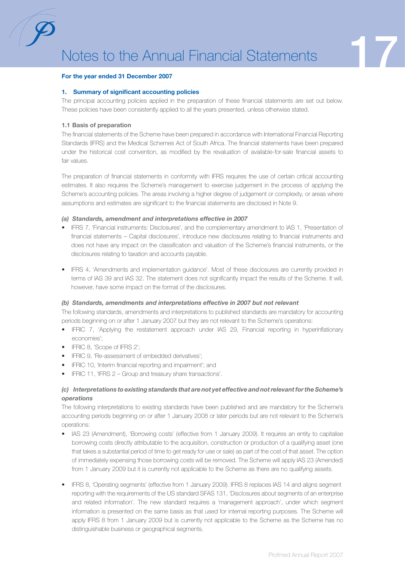

#### **For the year ended 31 December 2007**

#### **1. Summary of significant accounting policies**

The principal accounting policies applied in the preparation of these financial statements are set out below. These policies have been consistently applied to all the years presented, unless otherwise stated.

#### **1.1 Basis of preparation**

The financial statements of the Scheme have been prepared in accordance with International Financial Reporting Standards (IFRS) and the Medical Schemes Act of South Africa. The financial statements have been prepared under the historical cost convention, as modified by the revaluation of available-for-sale financial assets to fair values.

The preparation of financial statements in conformity with IFRS requires the use of certain critical accounting estimates. It also requires the Scheme's management to exercise judgement in the process of applying the Scheme's accounting policies. The areas involving a higher degree of judgement or complexity, or areas where assumptions and estimates are significant to the financial statements are disclosed in Note 9.

#### *(a) Standards, amendment and interpretations effective in 2007*

- IFRS 7, 'Financial instruments: Disclosures', and the complementary amendment to IAS 1, 'Presentation of financial statements – Capital disclosures', introduce new disclosures relating to financial instruments and does not have any impact on the classification and valuation of the Scheme's financial instruments, or the disclosures relating to taxation and accounts payable.
- IFRS 4, 'Amendments and implementation guidance'. Most of these disclosures are currently provided in terms of IAS 39 and IAS 32. The statement does not significantly impact the results of the Scheme. It will, however, have some impact on the format of the disclosures.

#### *(b) Standards, amendments and interpretations effective in 2007 but not relevant*

The following standards, amendments and interpretations to published standards are mandatory for accounting periods beginning on or after 1 January 2007 but they are not relevant to the Scheme's operations:

- IFRIC 7, 'Applying the restatement approach under IAS 29, Financial reporting in hyperinflationary economies';
- IFRIC 8, 'Scope of IFRS 2':
- IFRIC 9, 'Re-assessment of embedded derivatives';
- IFRIC 10, 'Interim financial reporting and impairment'; and
- IFRIC 11, 'IFRS 2 Group and treasury share transactions'.

#### *(c) Interpretations to existing standards that are not yet effective and not relevant for the Scheme's operations*

The following interpretations to existing standards have been published and are mandatory for the Scheme's accounting periods beginning on or after 1 January 2008 or later periods but are not relevant to the Scheme's operations:

- IAS 23 (Amendment), 'Borrowing costs' (effective from 1 January 2009). It requires an entity to capitalise borrowing costs directly attributable to the acquisition, construction or production of a qualifying asset (one that takes a substantial period of time to get ready for use or sale) as part of the cost of that asset. The option of immediately expensing those borrowing costs will be removed. The Scheme will apply IAS 23 (Amended) from 1 January 2009 but it is currently not applicable to the Scheme as there are no qualifying assets.
- IFRS 8, 'Operating segments' (effective from 1 January 2009). IFRS 8 replaces IAS 14 and aligns segment reporting with the requirements of the US standard SFAS 131, 'Disclosures about segments of an enterprise and related information'. The new standard requires a 'management approach', under which segment information is presented on the same basis as that used for internal reporting purposes. The Scheme will apply IFRS 8 from 1 January 2009 but is currently not applicable to the Scheme as the Scheme has no distinguishable business or geographical segments.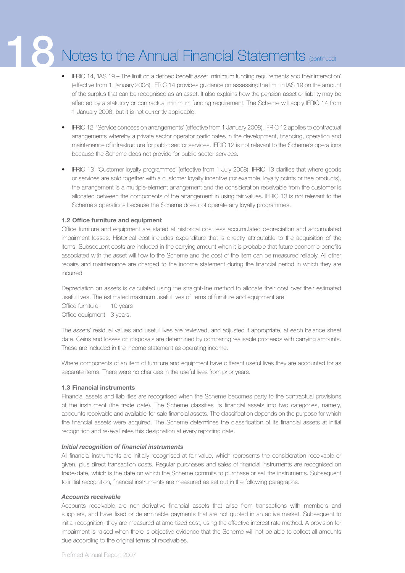- IFRIC 14, 'IAS 19 The limit on a defined benefit asset, minimum funding requirements and their interaction' (effective from 1 January 2008). IFRIC 14 provides guidance on assessing the limit in IAS 19 on the amount of the surplus that can be recognised as an asset. It also explains how the pension asset or liability may be affected by a statutory or contractual minimum funding requirement. The Scheme will apply IFRIC 14 from 1 January 2008, but it is not currently applicable.
- IFRIC 12, 'Service concession arrangements' (effective from 1 January 2008). IFRIC 12 applies to contractual arrangements whereby a private sector operator participates in the development, financing, operation and maintenance of infrastructure for public sector services. IFRIC 12 is not relevant to the Scheme's operations because the Scheme does not provide for public sector services.
- IFRIC 13, 'Customer loyalty programmes' (effective from 1 July 2008). IFRIC 13 clarifies that where goods or services are sold together with a customer loyalty incentive (for example, loyalty points or free products), the arrangement is a multiple-element arrangement and the consideration receivable from the customer is allocated between the components of the arrangement in using fair values. IFRIC 13 is not relevant to the Scheme's operations because the Scheme does not operate any loyalty programmes.

#### **1.2 Office furniture and equipment**

**18**

Office furniture and equipment are stated at historical cost less accumulated depreciation and accumulated impairment losses. Historical cost includes expenditure that is directly attributable to the acquisition of the items. Subsequent costs are included in the carrying amount when it is probable that future economic benefits associated with the asset will flow to the Scheme and the cost of the item can be measured reliably. All other repairs and maintenance are charged to the income statement during the financial period in which they are incurred.

Depreciation on assets is calculated using the straight-line method to allocate their cost over their estimated useful lives. The estimated maximum useful lives of items of furniture and equipment are: Office furniture 10 years Office equipment 3 years.

The assets' residual values and useful lives are reviewed, and adjusted if appropriate, at each balance sheet date. Gains and losses on disposals are determined by comparing realisable proceeds with carrying amounts. These are included in the income statement as operating income.

Where components of an item of furniture and equipment have different useful lives they are accounted for as separate items. There were no changes in the useful lives from prior years.

#### **1.3 Financial instruments**

Financial assets and liabilities are recognised when the Scheme becomes party to the contractual provisions of the instrument (the trade date). The Scheme classifies its financial assets into two categories, namely, accounts receivable and available-for-sale financial assets. The classification depends on the purpose for which the financial assets were acquired. The Scheme determines the classification of its financial assets at initial recognition and re-evaluates this designation at every reporting date.

#### **Initial recognition of financial instruments**

All financial instruments are initially recognised at fair value, which represents the consideration receivable or given, plus direct transaction costs. Regular purchases and sales of financial instruments are recognised on trade-date, which is the date on which the Scheme commits to purchase or sell the instruments. Subsequent to initial recognition, financial instruments are measured as set out in the following paragraphs.

#### *Accounts receivable*

Accounts receivable are non-derivative financial assets that arise from transactions with members and suppliers, and have fixed or determinable payments that are not quoted in an active market. Subsequent to initial recognition, they are measured at amortised cost, using the effective interest rate method. A provision for impairment is raised when there is objective evidence that the Scheme will not be able to collect all amounts due according to the original terms of receivables.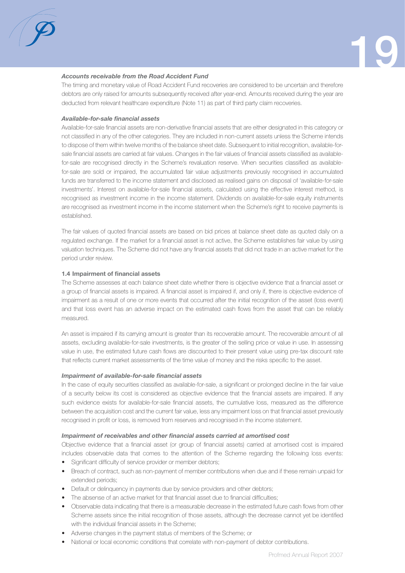



#### *Accounts receivable from the Road Accident Fund*

The timing and monetary value of Road Accident Fund recoveries are considered to be uncertain and therefore debtors are only raised for amounts subsequently received after year-end. Amounts received during the year are deducted from relevant healthcare expenditure (Note 11) as part of third party claim recoveries.

#### *Available-for-sale fi nancial assets*

Available-for-sale financial assets are non-derivative financial assets that are either designated in this category or not classified in any of the other categories. They are included in non-current assets unless the Scheme intends to dispose of them within twelve months of the balance sheet date. Subsequent to initial recognition, available-forsale financial assets are carried at fair values. Changes in the fair values of financial assets classified as availablefor-sale are recognised directly in the Scheme's revaluation reserve. When securities classified as availablefor-sale are sold or impaired, the accumulated fair value adjustments previously recognised in accumulated funds are transferred to the income statement and disclosed as realised gains on disposal of 'available-for-sale investments'. Interest on available-for-sale financial assets, calculated using the effective interest method, is recognised as investment income in the income statement. Dividends on available-for-sale equity instruments are recognised as investment income in the income statement when the Scheme's right to receive payments is established.

The fair values of quoted financial assets are based on bid prices at balance sheet date as quoted daily on a regulated exchange. If the market for a financial asset is not active, the Scheme establishes fair value by using valuation techniques. The Scheme did not have any financial assets that did not trade in an active market for the period under review.

#### **1.4 Impairment of financial assets**

The Scheme assesses at each balance sheet date whether there is objective evidence that a financial asset or a group of financial assets is impaired. A financial asset is impaired if, and only if, there is objective evidence of impairment as a result of one or more events that occurred after the initial recognition of the asset (loss event) and that loss event has an adverse impact on the estimated cash flows from the asset that can be reliably measured.

An asset is impaired if its carrying amount is greater than its recoverable amount. The recoverable amount of all assets, excluding available-for-sale investments, is the greater of the selling price or value in use. In assessing value in use, the estimated future cash flows are discounted to their present value using pre-tax discount rate that reflects current market assessments of the time value of money and the risks specific to the asset.

#### *Impairment of available-for-sale financial assets*

In the case of equity securities classified as available-for-sale, a significant or prolonged decline in the fair value of a security below its cost is considered as objective evidence that the financial assets are impaired. If any such evidence exists for available-for-sale financial assets, the cumulative loss, measured as the difference between the acquisition cost and the current fair value, less any impairment loss on that financial asset previously recognised in profit or loss, is removed from reserves and recognised in the income statement.

#### *Impairment of receivables and other financial assets carried at amortised cost*

Objective evidence that a financial asset (or group of financial assets) carried at amortised cost is impaired includes observable data that comes to the attention of the Scheme regarding the following loss events: • Significant difficulty of service provider or member debtors;

- 
- Breach of contract, such as non-payment of member contributions when due and if these remain unpaid for extended periods;
- Default or delinquency in payments due by service providers and other debtors;
- The absense of an active market for that financial asset due to financial difficulties;
- Observable data indicating that there is a measurable decrease in the estimated future cash flows from other Scheme assets since the initial recognition of those assets, although the decrease cannot yet be identified with the individual financial assets in the Scheme;
- Adverse changes in the payment status of members of the Scheme; or
- National or local economic conditions that correlate with non-payment of debtor contributions.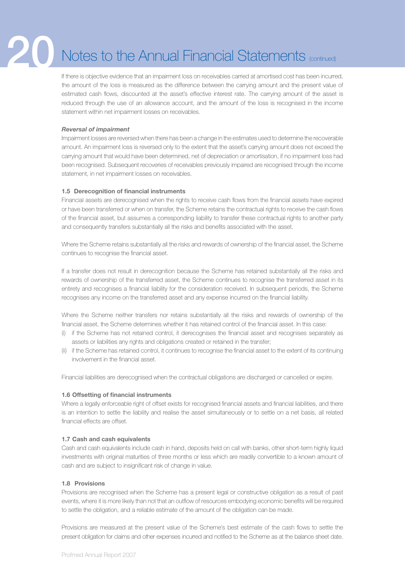If there is objective evidence that an impairment loss on receivables carried at amortised cost has been incurred, the amount of the loss is measured as the difference between the carrying amount and the present value of estimated cash flows, discounted at the asset's effective interest rate. The carrying amount of the asset is reduced through the use of an allowance account, and the amount of the loss is recognised in the income statement within net impairment losses on receivables.

#### *Reversal of impairment*

Impairment losses are reversed when there has been a change in the estimates used to determine the recoverable amount. An impairment loss is reversed only to the extent that the asset's carrying amount does not exceed the carrying amount that would have been determined, net of depreciation or amortisation, if no impairment loss had been recognised. Subsequent recoveries of receivables previously impaired are recognised through the income statement, in net impairment losses on receivables.

#### **1.5 Derecognition of financial instruments**

Financial assets are derecognised when the rights to receive cash flows from the financial assets have expired or have been transferred or when on transfer, the Scheme retains the contractual rights to receive the cash flows of the financial asset, but assumes a corresponding liability to transfer these contractual rights to another party and consequently transfers substantially all the risks and benefits associated with the asset.

Where the Scheme retains substantially all the risks and rewards of ownership of the financial asset, the Scheme continues to recognise the financial asset.

If a transfer does not result in derecognition because the Scheme has retained substantially all the risks and rewards of ownership of the transferred asset, the Scheme continues to recognise the transferred asset in its entirety and recognises a financial liability for the consideration received. In subsequent periods, the Scheme recognises any income on the transferred asset and any expense incurred on the financial liability.

Where the Scheme neither transfers nor retains substantially all the risks and rewards of ownership of the financial asset, the Scheme determines whether it has retained control of the financial asset. In this case:

- (i) if the Scheme has not retained control, it derecognises the financial asset and recognises separately as assets or liabilities any rights and obligations created or retained in the transfer;
- (ii) if the Scheme has retained control, it continues to recognise the financial asset to the extent of its continuing involvement in the financial asset.

Financial liabilities are derecognised when the contractual obligations are discharged or cancelled or expire.

#### **1.6 Offsetting of financial instruments**

Where a legally enforceable right of offset exists for recognised financial assets and financial liabilities, and there is an intention to settle the liability and realise the asset simultaneously or to settle on a net basis, all related financial effects are offset.

#### **1.7 Cash and cash equivalents**

Cash and cash equivalents include cash in hand, deposits held on call with banks, other short-term highly liquid investments with original maturities of three months or less which are readily convertible to a known amount of cash and are subject to insignificant risk of change in value.

#### **1.8 Provisions**

Provisions are recognised when the Scheme has a present legal or constructive obligation as a result of past events, where it is more likely than not that an outflow of resources embodying economic benefits will be required to settle the obligation, and a reliable estimate of the amount of the obligation can be made.

Provisions are measured at the present value of the Scheme's best estimate of the cash flows to settle the present obligation for claims and other expenses incurred and notified to the Scheme as at the balance sheet date.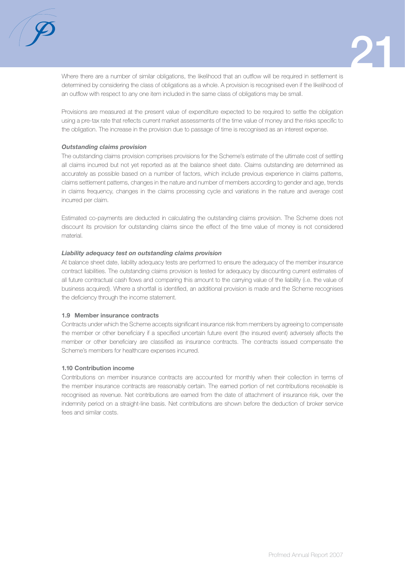



Where there are a number of similar obligations, the likelihood that an outflow will be required in settlement is determined by considering the class of obligations as a whole. A provision is recognised even if the likelihood of an outflow with respect to any one item included in the same class of obligations may be small.

Provisions are measured at the present value of expenditure expected to be required to settle the obligation using a pre-tax rate that reflects current market assessments of the time value of money and the risks specific to the obligation. The increase in the provision due to passage of time is recognised as an interest expense.

#### *Outstanding claims provision*

The outstanding claims provision comprises provisions for the Scheme's estimate of the ultimate cost of settling all claims incurred but not yet reported as at the balance sheet date. Claims outstanding are determined as accurately as possible based on a number of factors, which include previous experience in claims patterns, claims settlement patterns, changes in the nature and number of members according to gender and age, trends in claims frequency, changes in the claims processing cycle and variations in the nature and average cost incurred per claim.

Estimated co-payments are deducted in calculating the outstanding claims provision. The Scheme does not discount its provision for outstanding claims since the effect of the time value of money is not considered material.

#### *Liability adequacy test on outstanding claims provision*

At balance sheet date, liability adequacy tests are performed to ensure the adequacy of the member insurance contract liabilities. The outstanding claims provision is tested for adequacy by discounting current estimates of all future contractual cash flows and comparing this amount to the carrying value of the liability (i.e. the value of business acquired). Where a shortfall is identified, an additional provision is made and the Scheme recognises the deficiency through the income statement.

#### **1.9 Member insurance contracts**

Contracts under which the Scheme accepts significant insurance risk from members by agreeing to compensate the member or other beneficiary if a specified uncertain future event (the insured event) adversely affects the member or other beneficiary are classified as insurance contracts. The contracts issued compensate the Scheme's members for healthcare expenses incurred.

#### **1.10 Contribution income**

Contributions on member insurance contracts are accounted for monthly when their collection in terms of the member insurance contracts are reasonably certain. The earned portion of net contributions receivable is recognised as revenue. Net contributions are earned from the date of attachment of insurance risk, over the indemnity period on a straight-line basis. Net contributions are shown before the deduction of broker service fees and similar costs.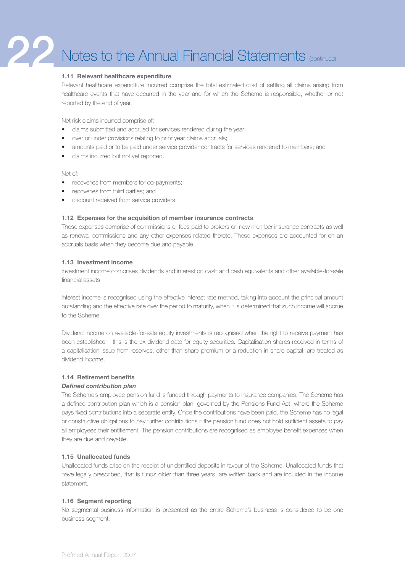#### **1.11 Relevant healthcare expenditure**

Relevant healthcare expenditure incurred comprise the total estimated cost of settling all claims arising from healthcare events that have occurred in the year and for which the Scheme is responsible, whether or not reported by the end of year.

Net risk claims incurred comprise of:

- claims submitted and accrued for services rendered during the year;
- over or under provisions relating to prior year claims accruals;
- amounts paid or to be paid under service provider contracts for services rendered to members; and
- claims incurred but not yet reported.

#### Net of:

**22**

- recoveries from members for co-payments;
- recoveries from third parties; and
- discount received from service providers.

#### **1.12 Expenses for the acquisition of member insurance contracts**

These expenses comprise of commissions or fees paid to brokers on new member insurance contracts as well as renewal commissions and any other expenses related thereto. These expenses are accounted for on an accruals basis when they become due and payable.

#### **1.13 Investment income**

Investment income comprises dividends and interest on cash and cash equivalents and other available-for-sale financial assets.

Interest income is recognised using the effective interest rate method, taking into account the principal amount outstanding and the effective rate over the period to maturity, when it is determined that such income will accrue to the Scheme.

Dividend income on available-for-sale equity investments is recognised when the right to receive payment has been established – this is the ex-dividend date for equity securities. Capitalisation shares received in terms of a capitalisation issue from reserves, other than share premium or a reduction in share capital, are treated as dividend income.

#### **1.14 Retirement benefits**

#### **Defined contribution plan**

The Scheme's employee pension fund is funded through payments to insurance companies. The Scheme has a defined contribution plan which is a pension plan, governed by the Pensions Fund Act, where the Scheme pays fixed contributions into a separate entity. Once the contributions have been paid, the Scheme has no legal or constructive obligations to pay further contributions if the pension fund does not hold sufficient assets to pay all employees their entitlement. The pension contributions are recognised as employee benefit expenses when they are due and payable.

#### **1.15 Unallocated funds**

Unallocated funds arise on the receipt of unidentified deposits in favour of the Scheme. Unallocated funds that have legally prescribed, that is funds older than three years, are written back and are included in the income statement.

#### **1.16 Segment reporting**

No segmental business information is presented as the entire Scheme's business is considered to be one business segment.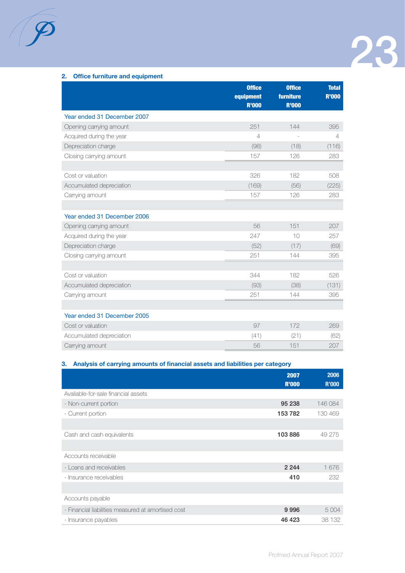



#### **2.** Office furniture and equipment

|                             | <b>Office</b><br>equipment<br><b>R'000</b> | <b>Office</b><br><b>furniture</b><br><b>R'000</b> | <b>Total</b><br><b>R'000</b> |
|-----------------------------|--------------------------------------------|---------------------------------------------------|------------------------------|
| Year ended 31 December 2007 |                                            |                                                   |                              |
| Opening carrying amount     | 251                                        | 144                                               | 395                          |
| Acquired during the year    | 4                                          |                                                   | $\overline{4}$               |
| Depreciation charge         | (98)                                       | (18)                                              | (116)                        |
| Closing carrying amount     | 157                                        | 126                                               | 283                          |
|                             |                                            |                                                   |                              |
| Cost or valuation           | 326                                        | 182                                               | 508                          |
| Accumulated depreciation    | (169)                                      | (56)                                              | (225)                        |
| Carrying amount             | 157                                        | 126                                               | 283                          |
|                             |                                            |                                                   |                              |
| Year ended 31 December 2006 |                                            |                                                   |                              |
| Opening carrying amount     | 56                                         | 151                                               | 207                          |
| Acquired during the year    | 247                                        | 10                                                | 257                          |
| Depreciation charge         | (52)                                       | (17)                                              | (69)                         |
| Closing carrying amount     | 251                                        | 144                                               | 395                          |
|                             |                                            |                                                   |                              |
| Cost or valuation           | 344                                        | 182                                               | 526                          |
| Accumulated depreciation    | (93)                                       | (38)                                              | (131)                        |
| Carrying amount             | 251                                        | 144                                               | 395                          |
|                             |                                            |                                                   |                              |
| Year ended 31 December 2005 |                                            |                                                   |                              |
| Cost or valuation           | 97                                         | 172                                               | 269                          |
| Accumulated depreciation    | (41)                                       | (21)                                              | (62)                         |
| Carrying amount             | 56                                         | 151                                               | 207                          |

#### **3. Analysis of carrying amounts of financial assets and liabilities per category**

|                                                    | 2007         | 2006         |
|----------------------------------------------------|--------------|--------------|
|                                                    | <b>R'000</b> | <b>R'000</b> |
| Avaliable-for-sale financial assets                |              |              |
| - Non-current portion                              | 95 238       | 146 084      |
| - Current portion                                  | 153 782      | 130 469      |
|                                                    |              |              |
| Cash and cash equivalents                          | 103886       | 49 275       |
|                                                    |              |              |
| Accounts receivable                                |              |              |
| - Loans and receivables                            | 2 2 4 4      | 1676         |
| - Insurance receivables                            | 410          | 232          |
|                                                    |              |              |
| Accounts payable                                   |              |              |
| - Financial liabilities measured at amortised cost | 9996         | 5 0 0 4      |
| - Insurance payables                               | 46 423       | 38 132       |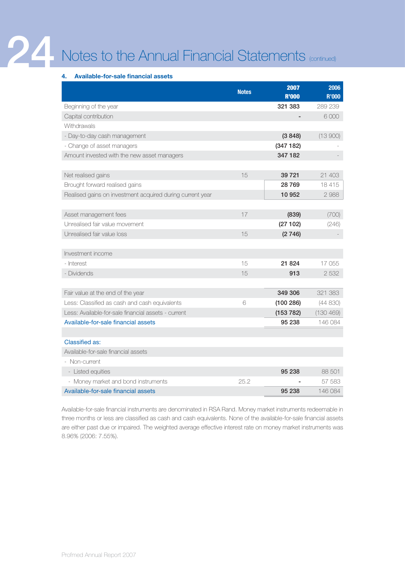#### **4.** Available-for-sale financial assets

**24**

|                                                           | <b>Notes</b> | 2007<br><b>R'000</b> | 2006<br><b>R'000</b> |
|-----------------------------------------------------------|--------------|----------------------|----------------------|
| Beginning of the year                                     |              | 321 383              | 289 239              |
| Capital contribution                                      |              |                      | 6 0 0 0              |
| Withdrawals                                               |              |                      |                      |
| - Day-to-day cash management                              |              | (3848)               | (13 900)             |
| - Change of asset managers                                |              | (347182)             |                      |
| Amount invested with the new asset managers               |              | 347 182              |                      |
|                                                           |              |                      |                      |
| Net realised gains                                        | 15           | 39 7 21              | 21 403               |
| Brought forward realised gains                            |              | 28 769               | 18 4 15              |
| Realised gains on investment acquired during current year |              | 10 952               | 2988                 |
|                                                           |              |                      |                      |
| Asset management fees                                     | 17           | (839)                | (700)                |
| Unrealised fair value movement                            |              | (27102)              | (246)                |
| Unrealised fair value loss                                | 15           | (2746)               |                      |
|                                                           |              |                      |                      |
| Investment income                                         |              |                      |                      |
| - Interest                                                | 15           | 21 824               | 17 055               |
| - Dividends                                               | 15           | 913                  | 2532                 |
|                                                           |              |                      |                      |
| Fair value at the end of the year                         |              | 349 306              | 321 383              |
| Less: Classified as cash and cash equivalents             | 6            | (100 286)            | (44830)              |
| Less: Available-for-sale financial assets - current       |              | (153 782)            | (130 469)            |
| Available-for-sale financial assets                       |              | 95 238               | 146 084              |
|                                                           |              |                      |                      |
| <b>Classified as:</b>                                     |              |                      |                      |
| Available-for-sale financial assets                       |              |                      |                      |
| - Non-current                                             |              |                      |                      |
| - Listed equities                                         |              | 95 238               | 88 501               |
| - Money market and bond instruments                       | 25.2         |                      | 57 583               |
| Available-for-sale financial assets                       |              | 95 238               | 146 084              |

Available-for-sale financial instruments are denominated in RSA Rand. Money market instruments redeemable in three months or less are classified as cash and cash equivalents. None of the available-for-sale financial assets are either past due or impaired. The weighted average effective interest rate on money market instruments was 8.96% (2006: 7.55%).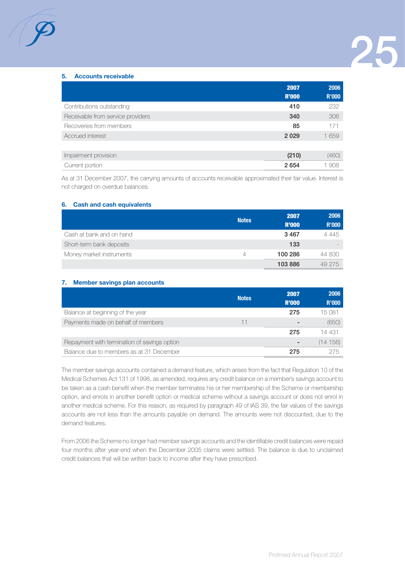



#### **5. Accounts receivable**

|                                   | 2007<br><b>R'000</b> | 2006<br><b>R'000</b> |
|-----------------------------------|----------------------|----------------------|
| Contributions outstanding         | 410                  | 232                  |
| Receivable from service providers | 340                  | 306                  |
| Recoveries from members           | 85                   | 171                  |
| Accrued interest                  | 2029                 | 1 659                |
|                                   |                      |                      |
| Impairment provision              | (210)                | (460)                |
| Current portion                   | 2654                 | 908                  |

As at 31 December 2007, the carrying amounts of accounts receivable approximated their fair value. Interest is not charged on overdue balances.

#### **6. Cash and cash equivalents**

|                          | <b>Notes</b> | 2007<br><b>R'000</b> | 2006<br><b>R'000</b> |
|--------------------------|--------------|----------------------|----------------------|
| Cash at bank and on hand |              | 3467                 | 4 4 4 5              |
| Short-term bank deposits |              | 133                  |                      |
| Money market instruments | 4            | 100 286              | 44 830               |
|                          |              | 103886               | 49 275               |

#### **7. Member savings plan accounts**

|                                              | <b>Notes</b> | 2007<br><b>R'000</b>     | 2006<br><b>R'000</b> |
|----------------------------------------------|--------------|--------------------------|----------------------|
| Balance at beginning of the year             |              | 275                      | 15 081               |
| Payments made on behalf of members           | 11           | $\overline{\phantom{a}}$ | (650)                |
|                                              |              | 275                      | 14 431               |
| Repayment with termination of savings option |              |                          | (14 156)             |
| Balance due to members as at 31 December     |              | 275                      | 275                  |

The member savings accounts contained a demand feature, which arises from the fact that Regulation 10 of the Medical Schemes Act 131 of 1998, as amended, requires any credit balance on a member's savings account to be taken as a cash benefit when the member terminates his or her membership of the Scheme or membership option, and enrols in another benefi t option or medical scheme without a savings account or does not enrol in another medical scheme. For this reason, as required by paragraph 49 of IAS 39, the fair values of the savings accounts are not less than the amounts payable on demand. The amounts were not discounted, due to the demand features.

From 2006 the Scheme no longer had member savings accounts and the identifiable credit balances were repaid four months after year-end when the December 2005 claims were settled. The balance is due to unclaimed credit balances that will be written back to income after they have prescribed.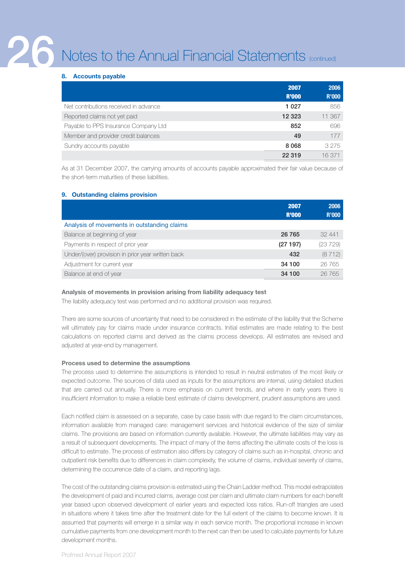#### **8. Accounts payable**

**26**

|                                       | 2007<br><b>R'000</b> | 2006<br><b>R'000</b> |
|---------------------------------------|----------------------|----------------------|
| Net contributions received in advance | 1 0 2 7              | 856                  |
| Reported claims not yet paid          | 12 3 23              | 11 367               |
| Payable to PPS Insurance Company Ltd  | 852                  | 696                  |
| Member and provider credit balances   | 49                   | 177                  |
| Sundry accounts payable               | 8 0 6 8              | 3275                 |
|                                       | 22 3 19              | 16371                |

As at 31 December 2007, the carrying amounts of accounts payable approximated their fair value because of the short-term maturities of these liabilities.

#### **9. Outstanding claims provision**

|                                                   | 2007<br><b>R'000</b> | 2006<br><b>R'000</b> |
|---------------------------------------------------|----------------------|----------------------|
| Analysis of movements in outstanding claims       |                      |                      |
| Balance at beginning of year                      | 26 7 65              | 32 441               |
| Payments in respect of prior year                 | (27197)              | (23 729)             |
| Under/(over) provision in prior year written back | 432                  | (8712)               |
| Adjustment for current year                       | 34 100               | 26765                |
| Balance at end of year                            | 34 100               | 26765                |

#### **Analysis of movements in provision arising from liability adequacy test**

The liability adequacy test was performed and no additional provision was required.

There are some sources of uncertainty that need to be considered in the estimate of the liability that the Scheme will ultimately pay for claims made under insurance contracts. Initial estimates are made relating to the best calculations on reported claims and derived as the claims process develops. All estimates are revised and adjusted at year-end by management.

#### **Process used to determine the assumptions**

The process used to determine the assumptions is intended to result in neutral estimates of the most likely or expected outcome. The sources of data used as inputs for the assumptions are internal, using detailed studies that are carried out annually. There is more emphasis on current trends, and where in early years there is insufficient information to make a reliable best estimate of claims development, prudent assumptions are used.

Each notified claim is assessed on a separate, case by case basis with due regard to the claim circumstances, information available from managed care: management services and historical evidence of the size of similar claims. The provisions are based on information currently available. However, the ultimate liabilities may vary as a result of subsequent developments. The impact of many of the items affecting the ultimate costs of the loss is difficult to estimate. The process of estimation also differs by category of claims such as in-hospital, chronic and outpatient risk benefits due to differences in claim complexity, the volume of claims, individual severity of claims, determining the occurrence date of a claim, and reporting lags.

The cost of the outstanding claims provision is estimated using the Chain Ladder method. This model extrapolates the development of paid and incurred claims, average cost per claim and ultimate claim numbers for each benefit year based upon observed development of earlier years and expected loss ratios. Run-off triangles are used in situations where it takes time after the treatment date for the full extent of the claims to become known. It is assumed that payments will emerge in a similar way in each service month. The proportional increase in known cumulative payments from one development month to the next can then be used to calculate payments for future development months.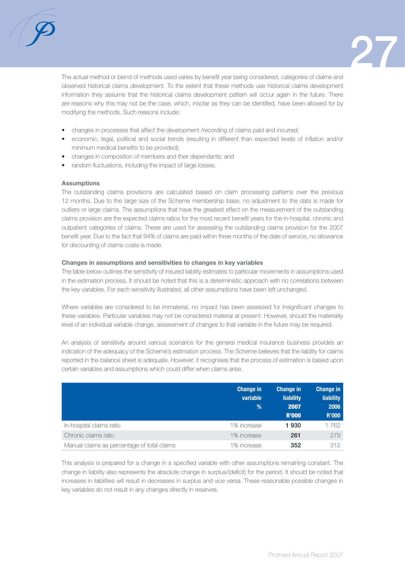



The actual method or blend of methods used varies by benefit year being considered, categories of claims and observed historical claims development. To the extent that these methods use historical claims development information they assume that the historical claims development pattern will occur again in the future. There are reasons why this may not be the case, which, insofar as they can be identified, have been allowed for by modifying the methods. Such reasons include:

- changes in processes that affect the development /recording of claims paid and incurred;
- economic, legal, political and social trends (resulting in different than expected levels of inflation and/or minimum medical benefits to be provided);
- changes in composition of members and their dependants; and
- random fluctuations, including the impact of large losses.

#### **Assumptions**

The outstanding claims provisions are calculated based on claim processing patterns over the previous 12 months. Due to the large size of the Scheme membership base, no adjustment to the data is made for outliers or large claims. The assumptions that have the greatest effect on the measurement of the outstanding claims provision are the expected claims ratios for the most recent benefit years for the in-hospital, chronic and outpatient categories of claims. These are used for assessing the outstanding claims provision for the 2007 benefit year. Due to the fact that 94% of claims are paid within three months of the date of service, no allowance for discounting of claims costs is made.

#### **Changes in assumptions and sensitivities to changes in key variables**

The table below outlines the sensitivity of insured liability estimates to particular movements in assumptions used in the estimation process. It should be noted that this is a deterministic approach with no correlations between the key variables. For each sensitivity illustrated, all other assumptions have been left unchanged.

Where variables are considered to be immaterial, no impact has been assessed for insignificant changes to these variables. Particular variables may not be considered material at present. However, should the materiality level of an individual variable change, assessment of changes to that variable in the future may be required.

An analysis of sensitivity around various scenarios for the general medical insurance business provides an indication of the adequacy of the Scheme's estimation process. The Scheme believes that the liability for claims reported in the balance sheet is adequate. However, it recognises that the process of estimation is based upon certain variables and assumptions which could differ when claims arise.

|                                             | <b>Change in</b><br>variable<br>$\frac{9}{6}$ | <b>Change in</b><br><b>liability</b><br>2007<br><b>R'000</b> | <b>Change in</b><br><b>liability</b><br>2006<br><b>R'000</b> |
|---------------------------------------------|-----------------------------------------------|--------------------------------------------------------------|--------------------------------------------------------------|
| In-hospital claims ratio                    | 1% increase                                   | 1930                                                         | 1762                                                         |
| Chronic claims ratio                        | 1% increase                                   | 261                                                          | 279                                                          |
| Manual claims as percentage of total claims | 1% increase                                   | 352                                                          | 312                                                          |

This analysis is prepared for a change in a specified variable with other assumptions remaining constant. The change in liability also represents the absolute change in surplus/(deficit) for the period. It should be noted that increases in liabilities will result in decreases in surplus and vice versa. These reasonable possible changes in key variables do not result in any changes directly in reserves.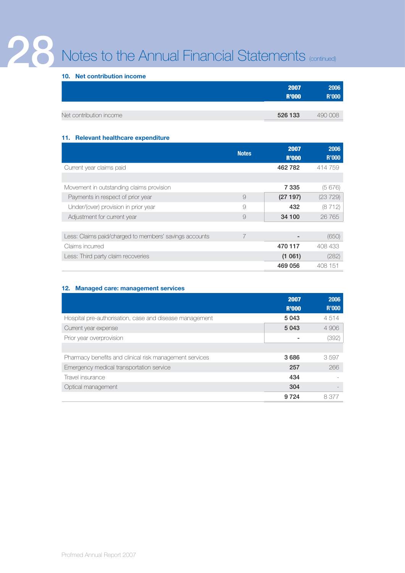#### **10. Net contribution income**

**28**

|                         | 2007<br><b>R'000</b> | 2006<br><b>R'000</b> |
|-------------------------|----------------------|----------------------|
|                         |                      |                      |
| Net contribution income | 526 133              | 490 008              |

#### **11. Relevant healthcare expenditure**

|                                                        | <b>Notes</b> | 2007<br><b>R'000</b> | 2006<br><b>R'000</b> |
|--------------------------------------------------------|--------------|----------------------|----------------------|
| Current year claims paid                               |              | 462782               | 414759               |
|                                                        |              |                      |                      |
| Movement in outstanding claims provision               |              | 7 3 3 5              | (5676)               |
| Payments in respect of prior year                      | $\Theta$     | (27197)              | (23 729)             |
| Under/(over) provision in prior year                   | 9            | 432                  | (8712)               |
| Adjustment for current year                            | $\Omega$     | 34 100               | 26 7 65              |
|                                                        |              |                      |                      |
| Less: Claims paid/charged to members' savings accounts | 7            |                      | (650)                |
| Claims incurred                                        |              | 470 117              | 408 433              |
| Less: Third party claim recoveries                     |              | (1061)               | (282)                |
|                                                        |              | 469 056              | 408.<br>151          |

#### **12. Managed care: management services**

|                                                         | 2007<br><b>R'000</b> | 2006<br><b>R'000</b> |
|---------------------------------------------------------|----------------------|----------------------|
| Hospital pre-authorisation, case and disease management | 5 0 4 3              | 4514                 |
| Current year expense                                    | 5 0 4 3              | 4 906                |
| Prior year overprovision                                |                      | (392)                |
|                                                         |                      |                      |
| Pharmacy benefits and clinical risk management services | 3686                 | 3597                 |
| Emergency medical transportation service                | 257                  | 266                  |
| Travel insurance                                        | 434                  |                      |
| Optical management                                      | 304                  |                      |
|                                                         | 9 7 2 4              | 8.377                |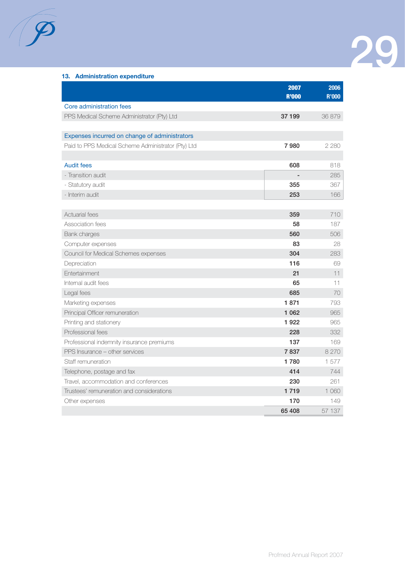



#### **13. Administration expenditure**

|                                                    | 2007<br><b>R'000</b> | 2006<br>R'000 |
|----------------------------------------------------|----------------------|---------------|
| Core administration fees                           |                      |               |
| PPS Medical Scheme Administrator (Pty) Ltd         | 37 199               | 36879         |
|                                                    |                      |               |
| Expenses incurred on change of administrators      |                      |               |
| Paid to PPS Medical Scheme Administrator (Pty) Ltd | 7980                 | 2 2 8 0       |
|                                                    |                      |               |
| <b>Audit fees</b>                                  | 608                  | 818           |
| - Transition audit                                 |                      | 285           |
| - Statutory audit                                  | 355                  | 367           |
| - Interim audit                                    | 253                  | 166           |
|                                                    |                      |               |
| <b>Actuarial fees</b>                              | 359                  | 710           |
| Association fees                                   | 58                   | 187           |
| Bank charges                                       | 560                  | 506           |
| Computer expenses                                  | 83                   | 28            |
| Council for Medical Schemes expenses               | 304                  | 283           |
| Depreciation                                       | 116                  | 69            |
| Entertainment                                      | 21                   | 11            |
| Internal audit fees                                | 65                   | 11            |
| Legal fees                                         | 685                  | 70            |
| Marketing expenses                                 | 1871                 | 793           |
| Principal Officer remuneration                     | 1 0 6 2              | 965           |
| Printing and stationery                            | 1922                 | 965           |
| Professional fees                                  | 228                  | 332           |
| Professional indemnity insurance premiums          | 137                  | 169           |
| PPS Insurance – other services                     | 7837                 | 8 2 7 0       |
| Staff remuneration                                 | 1780                 | 1577          |
| Telephone, postage and fax                         | 414                  | 744           |
| Travel, accommodation and conferences              | 230                  | 261           |
| Trustees' remuneration and considerations          | 1 7 1 9              | 1 0 6 0       |
| Other expenses                                     | 170                  | 149           |
|                                                    | 65 408               | 57 137        |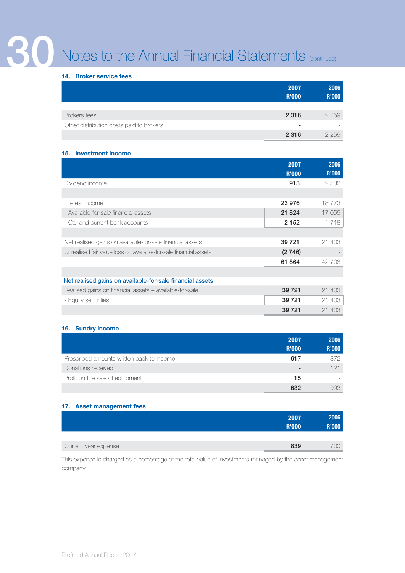#### **14. Broker service fees**

**30**

|                                          | 2007<br><b>R'000</b> | 2006<br><b>R'000</b> |
|------------------------------------------|----------------------|----------------------|
| Brokers fees                             | 2 3 1 6              | 2 2 5 9              |
| Other distribution costs paid to brokers |                      |                      |
|                                          | 2 3 1 6              | 2259                 |

#### **15. Investment income**

|                                                                   | 2007         | 2006         |
|-------------------------------------------------------------------|--------------|--------------|
|                                                                   | <b>R'000</b> | <b>R'000</b> |
| Dividend income                                                   | 913          | 2532         |
|                                                                   |              |              |
| Interest income                                                   | 23 976       | 18773        |
| - Available-for-sale financial assets                             | 21 8 24      | 17 055       |
| - Call and current bank accounts                                  | 2 1 5 2      | 1718         |
|                                                                   |              |              |
| Net realised gains on available-for-sale financial assets         | 39 7 21      | 21 403       |
| Unrealised fair value loss on available-for-sale financial assets | (2746)       |              |
|                                                                   | 61 864       | 42 708       |
|                                                                   |              |              |
| Net realised gains on available-for-sale financial assets         |              |              |
| Realised gains on financial assets – available-for-sale:          | 39 7 21      | 21 403       |
| - Equity securities                                               | 39 7 21      | 21 403       |
|                                                                   | 39 7 21      | 21.403       |

#### **16. Sundry income**

|                                           | 2007<br><b>R'000</b> | 2006<br>R'000 |
|-------------------------------------------|----------------------|---------------|
| Prescribed amounts written back to income | 617                  | 872           |
| Donations received                        |                      | 121           |
| Profit on the sale of equipment           | 15                   |               |
|                                           | 632                  |               |

#### **17. Asset management fees**

|                      | 2007<br><b>R'000</b> | 2006<br>R'000 |
|----------------------|----------------------|---------------|
| Current year expense | 839                  | 700           |

This expense is charged as a percentage of the total value of investments managed by the asset management company.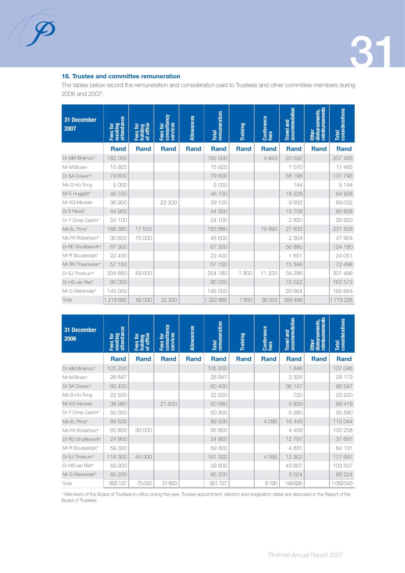



#### **18. Trustee and committee remuneration**

The tables below record the remuneration and consideration paid to Trustees and other committee members during 2006 and 2007:

| 31 December<br>2007 | meeting<br>attendance<br>Fees for | Fees for<br>holding<br>of office | consultancy<br>services<br>Fees for | <b>Allowances</b> | remuneration<br><b>Total</b> | Training    | Conference<br>fees | accommodation<br><b>Travel and</b> | reimbursements<br>disbursements,<br><b>Other</b> | Total<br>considerations |
|---------------------|-----------------------------------|----------------------------------|-------------------------------------|-------------------|------------------------------|-------------|--------------------|------------------------------------|--------------------------------------------------|-------------------------|
|                     | <b>Rand</b>                       | <b>Rand</b>                      | <b>Rand</b>                         | <b>Rand</b>       | <b>Rand</b>                  | <b>Rand</b> | <b>Rand</b>        | <b>Rand</b>                        | <b>Rand</b>                                      | <b>Rand</b>             |
| Dr MM Bhikhoo*      | 182 000                           |                                  |                                     |                   | 182 000                      |             | 4843               | 20 592                             |                                                  | 207 435                 |
| Mr M Brown          | 15 925                            |                                  |                                     |                   | 15 925                       |             |                    | 1570                               |                                                  | 17495                   |
| Dr SA Craven*       | 79 600                            |                                  |                                     |                   | 79 600                       |             |                    | 58 196                             |                                                  | 137 796                 |
| Ms G Ho-Tong        | 5 000                             |                                  |                                     |                   | 5 0 0 0                      |             |                    | 144                                |                                                  | 5 1 4 4                 |
| Mr E Huggett*       | 46 700                            |                                  |                                     |                   | 46 700                       |             |                    | 18 228                             |                                                  | 64 928                  |
| Mr KG Mockler       | 36 900                            |                                  | 22 200                              |                   | 59 100                       |             |                    | 9932                               |                                                  | 69 032                  |
| Dr E Nkosi*         | 44 900                            |                                  |                                     |                   | 44 900                       |             |                    | 15 708                             |                                                  | 60 608                  |
| Dr Y Omar Carrim*   | 24 100                            |                                  |                                     |                   | 24 100                       |             |                    | 2820                               |                                                  | 26 920                  |
| Ms EL Prins*        | 166 380                           | 17 500                           |                                     |                   | 183 880                      |             | 19 990             | 27 633                             |                                                  | 231 503                 |
| Ms FK Robertson*    | 30 600                            | 15 000                           |                                     |                   | 45 600                       |             |                    | 2 3 0 4                            |                                                  | 47 904                  |
| Dr RD Shuttleworth* | 67 300                            |                                  |                                     |                   | 67 300                       |             |                    | 56 880                             |                                                  | 124 180                 |
| Mr R Stoutjesdyk*   | 22 400                            |                                  |                                     |                   | 22 400                       |             |                    | 1651                               |                                                  | 24 051                  |
| Mr RN Theunissen*   | 57 150                            |                                  |                                     |                   | 57 150                       |             |                    | 15 348                             |                                                  | 72 498                  |
| Dr EJ Thorburn*     | 204 680                           | 49 500                           |                                     |                   | 254 180                      | 1800        | 11 2 20            | 34 296                             |                                                  | 301 496                 |
| Dr HS van Riet*     | 90 050                            |                                  |                                     |                   | 90 050                       |             |                    | 72 522                             |                                                  | 162 572                 |
| Mr G Warrender*     | 145 000                           |                                  |                                     |                   | 145 000                      |             |                    | 20 664                             |                                                  | 165 664                 |
| Total               | 1218685                           | 82 000                           | 22 200                              |                   | 1 322 885                    | 1800        | 36 053             | 358 488                            |                                                  | 1719226                 |

| 31 December<br>2006 | meeting<br>attendance<br>Fees for | holding<br>of office<br>Fees for | consultancy<br>services<br>Fees for | <b>Allowances</b> | remuneration<br>Total | <b>Training</b> | Conference<br>tees | accommodation<br>Travel and | disbursements,<br>reimbursements<br><b>Other</b> | <b>Total</b><br>considerations |
|---------------------|-----------------------------------|----------------------------------|-------------------------------------|-------------------|-----------------------|-----------------|--------------------|-----------------------------|--------------------------------------------------|--------------------------------|
|                     | <b>Rand</b>                       | <b>Rand</b>                      | <b>Rand</b>                         | <b>Rand</b>       | <b>Rand</b>           | <b>Rand</b>     | <b>Rand</b>        | <b>Rand</b>                 | <b>Rand</b>                                      | <b>Rand</b>                    |
| Dr MM Bhikhoo*      | 105 200                           |                                  |                                     |                   | 105 200               |                 |                    | 1846                        |                                                  | 107 046                        |
| Mr M Brown          | 26 847                            |                                  |                                     |                   | 26 847                |                 |                    | 2 3 2 6                     |                                                  | 173<br>29                      |
| Dr SA Craven*       | 60 400                            |                                  |                                     |                   | 60 400                |                 |                    | 36 147                      |                                                  | 96 547                         |
| Ms G Ho-Tong        | 22 500                            |                                  |                                     |                   | 22 500                |                 |                    | 720                         |                                                  | 23 2 20                        |
| Mr KG Mockler       | 38 980                            |                                  | 21 600                              |                   | 60 580                |                 |                    | 5839                        |                                                  | 66419                          |
| Dr Y Omar Carrim*   | 50 300                            |                                  |                                     |                   | 50 300                |                 |                    | 5 2 8 0                     |                                                  | 55 580                         |
| Ms EL Prins*        | 89 500                            |                                  |                                     |                   | 89 500                |                 | 4 0 9 5            | 16 449                      |                                                  | 110 044                        |
| Ms FK Robertson*    | 65 800                            | 30 000                           |                                     |                   | 95 800                |                 |                    | 4 4 5 8                     |                                                  | 100 258                        |
| Dr RD Shuttleworth  | 24 900                            |                                  |                                     |                   | 24 900                |                 |                    | 12797                       |                                                  | 37 697                         |
| Mr R Stoutjesdyk*   | 59 300                            |                                  |                                     |                   | 59 300                |                 |                    | 4831                        |                                                  | 64 131                         |
| Dr EJ Thorburn*     | 116 300                           | 45 000                           |                                     |                   | 161 300               |                 | 4 0 9 5            | 12 302                      |                                                  | 177 697                        |
| Dr HS van Riet*     | 59 900                            |                                  |                                     |                   | 59 900                |                 |                    | 43 607                      |                                                  | 103 507                        |
| Mr G Warrender*     | 85 200                            |                                  |                                     |                   | 85 200                |                 |                    | 3024                        |                                                  | 88 224                         |
| Total               | 805 127                           | 75000                            | 21600                               |                   | 901727                |                 | 8190               | 149626                      |                                                  | 1059543                        |

\* Members of the Board of Trustees in office during the year. Trustee appointment, election and resignation dates are disclosed in the Report of the Board of Trustees.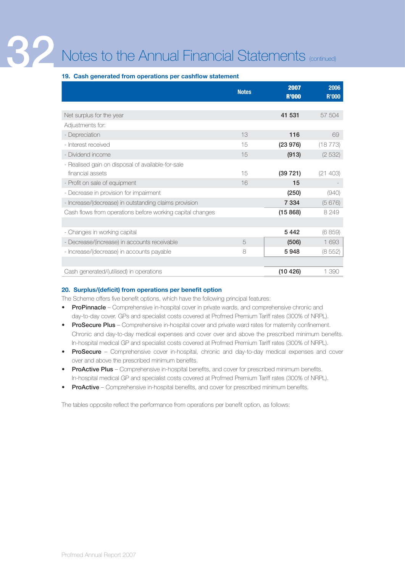#### **19. Cash generated from operations per cashflow statement**

**32**

|                                                           | <b>Notes</b> | 2007<br><b>R'000</b> | 2006<br><b>R'000</b> |
|-----------------------------------------------------------|--------------|----------------------|----------------------|
|                                                           |              |                      |                      |
| Net surplus for the year                                  |              | 41 531               | 57 504               |
| Adjustments for:                                          |              |                      |                      |
| - Depreciation                                            | 13           | 116                  | 69                   |
| - Interest received                                       | 15           | (23 976)             | (18773)              |
| - Dividend income                                         | 15           | (913)                | (2532)               |
| - Realised gain on disposal of available-for-sale         |              |                      |                      |
| financial assets                                          | 15           | (39 721)             | (21 403)             |
| - Profit on sale of equipment                             | 16           | 15                   |                      |
| - Decrease in provision for impairment                    |              | (250)                | (940)                |
| - Increase/(decrease) in outstanding claims provision     |              | 7 3 3 4              | (5676)               |
| Cash flows from operations before working capital changes |              | (15868)              | 8 2 4 9              |
|                                                           |              |                      |                      |
| - Changes in working capital                              |              | 5442                 | (6859)               |
| - Decrease/(increase) in accounts receivable              | 5            | (506)                | 1 693                |
| - Increase/(decrease) in accounts payable                 | 8            | 5948                 | (8552)               |
|                                                           |              |                      |                      |
| Cash generated/(utilised) in operations                   |              | (10 426)             | 1 390                |

#### **20. Surplus/(deficit) from operations per benefit option**

The Scheme offers five benefit options, which have the following principal features:

- **ProPinnacle** Comprehensive in-hospital cover in private wards, and comprehensive chronic and day-to-day cover. GPs and specialist costs covered at Profmed Premium Tariff rates (300% of NRPL).
- **ProSecure Plus** Comprehensive in-hospital cover and private ward rates for maternity confinement. Chronic and day-to-day medical expenses and cover over and above the prescribed minimum benefits. In-hospital medical GP and specialist costs covered at Profmed Premium Tariff rates (300% of NRPL).
- **ProSecure** Comprehensive cover in-hospital, chronic and day-to-day medical expenses and cover over and above the prescribed minimum benefits.
- **ProActive Plus** Comprehensive in-hospital benefits, and cover for prescribed minimum benefits. In-hospital medical GP and specialist costs covered at Profmed Premium Tariff rates (300% of NRPL).
- **ProActive** Comprehensive in-hospital benefits, and cover for prescribed minimum benefits.

The tables opposite reflect the performance from operations per benefit option, as follows: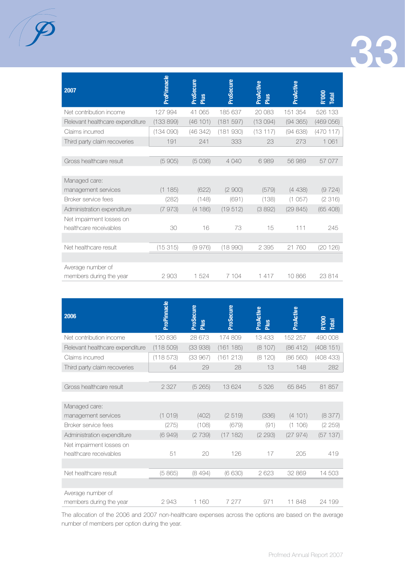



| 2007                            | ProPinnacle | ProSecure<br>Plus | ProSecure | ProActive<br>Plus | roActive | <b>R'000</b><br><b>Total</b> |
|---------------------------------|-------------|-------------------|-----------|-------------------|----------|------------------------------|
| Net contribution income         | 127 994     | 41 065            | 185 637   | 20 083            | 151 354  | 526 133                      |
| Relevant healthcare expenditure | (133 899)   | (46101)           | (181597)  | (13094)           | (94 365) | (469056)                     |
| Claims incurred                 | (134090)    | (46342)           | (181930)  | (13117)           | (94638)  | (470117)                     |
| Third party claim recoveries    | 191         | 241               | 333       | 23                | 273      | 1 0 6 1                      |
|                                 |             |                   |           |                   |          |                              |
| Gross healthcare result         | (5905)      | (5036)            | 4 0 4 0   | 6989              | 56989    | 57 077                       |
|                                 |             |                   |           |                   |          |                              |
| Managed care:                   |             |                   |           |                   |          |                              |
| management services             | (1185)      | (622)             | (2 900)   | (579)             | (4438)   | (9724)                       |
| Broker service fees             | (282)       | (148)             | (691)     | (138)             | (1057)   | (2316)                       |
| Administration expenditure      | (7973)      | (4 186)           | (19512)   | (3892)            | (29845)  | (65 408)                     |
| Net impairment losses on        |             |                   |           |                   |          |                              |
| healthcare receivables          | 30          | 16                | 73        | 15                | 111      | 245                          |
|                                 |             |                   |           |                   |          |                              |
| Net healthcare result           | (15315)     | (9976)            | (18990)   | 2 3 9 5           | 21 760   | (20 126)                     |
|                                 |             |                   |           |                   |          |                              |
| Average number of               |             |                   |           |                   |          |                              |
| members during the year         | 2903        | 1524              | 7 104     | 1417              | 10866    | 23814                        |

| 2006                            | ProPinnacle | ProSecure<br>Plus | ProSecure | ProActive<br>Plus | ProActive | R'000<br>Total |
|---------------------------------|-------------|-------------------|-----------|-------------------|-----------|----------------|
| Net contribution income         | 120 836     | 28 673            | 174 809   | 13 4 3 3          | 152 257   | 490 008        |
| Relevant healthcare expenditure | (118509)    | (33938)           | (161 185) | (8107)            | (86 412)  | (408151)       |
| Claims incurred                 | (118573)    | (33967)           | (161 213) | (8120)            | (86 560)  | (408 433)      |
| Third party claim recoveries    | 64          | 29                | 28        | 13                | 148       | 282            |
|                                 |             |                   |           |                   |           |                |
| Gross healthcare result         | 2 3 2 7     | (5265)            | 13 624    | 5 3 2 6           | 65 845    | 81 857         |
|                                 |             |                   |           |                   |           |                |
| Managed care:                   |             |                   |           |                   |           |                |
| management services             | (1019)      | (402)             | (2519)    | (336)             | (4 101)   | (8377)         |
| Broker service fees             | (275)       | (108)             | (679)     | (91)              | (1106)    | (2 259)        |
| Administration expenditure      | (6949)      | (2739)            | (17182)   | (2 293)           | (27974)   | (57137)        |
| Net impairment losses on        |             |                   |           |                   |           |                |
| healthcare receivables          | 51          | 20                | 126       | 17                | 205       | 419            |
|                                 |             |                   |           |                   |           |                |
| Net healthcare result           | (5 865)     | (8494)            | (6630)    | 2623              | 32 869    | 14 503         |
|                                 |             |                   |           |                   |           |                |
| Average number of               |             |                   |           |                   |           |                |
| members during the year         | 2943        | 1 160             | 7 277     | 971               | 11848     | 24 199         |

The allocation of the 2006 and 2007 non-healthcare expenses across the options are based on the average number of members per option during the year.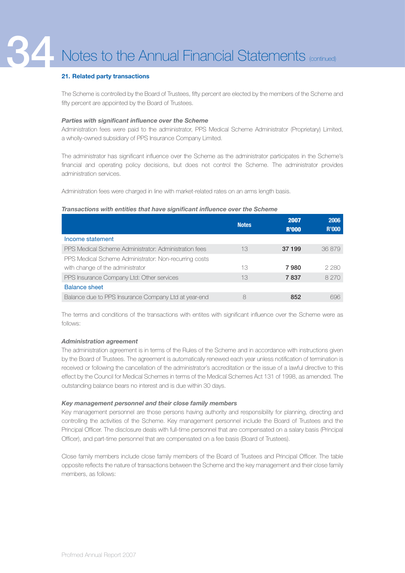#### **21. Related party transactions**

The Scheme is controlled by the Board of Trustees, fifty percent are elected by the members of the Scheme and fifty percent are appointed by the Board of Trustees.

#### **Parties with significant influence over the Scheme**

Administration fees were paid to the administrator, PPS Medical Scheme Administrator (Proprietary) Limited, a wholly-owned subsidiary of PPS Insurance Company Limited.

The administrator has significant influence over the Scheme as the administrator participates in the Scheme's financial and operating policy decisions, but does not control the Scheme. The administrator provides administration services.

Administration fees were charged in line with market-related rates on an arms length basis.

#### **Transactions with entities that have significant influence over the Scheme**

|                                                       | <b>Notes</b> | 2007<br><b>R'000</b> | 2006<br><b>R'000</b> |
|-------------------------------------------------------|--------------|----------------------|----------------------|
| Income statement                                      |              |                      |                      |
| PPS Medical Scheme Administrator: Administration fees | 13           | 37 199               | 36879                |
| PPS Medical Scheme Administrator: Non-recurring costs |              |                      |                      |
| with change of the administrator                      | 13           | 7980                 | 2 280                |
| PPS Insurance Company Ltd: Other services             | 13           | 7837                 | 8 2 7 0              |
| <b>Balance sheet</b>                                  |              |                      |                      |
| Balance due to PPS Insurance Company Ltd at year-end  | 8            | 852                  | 696                  |

The terms and conditions of the transactions with entites with significant influence over the Scheme were as follows:

#### *Administration agreement*

The administration agreement is in terms of the Rules of the Scheme and in accordance with instructions given by the Board of Trustees. The agreement is automatically renewed each year unless notification of termination is received or following the cancellation of the administrator's accreditation or the issue of a lawful directive to this effect by the Council for Medical Schemes in terms of the Medical Schemes Act 131 of 1998, as amended. The outstanding balance bears no interest and is due within 30 days.

#### *Key management personnel and their close family members*

Key management personnel are those persons having authority and responsibility for planning, directing and controlling the activities of the Scheme. Key management personnel include the Board of Trustees and the Principal Officer. The disclosure deals with full-time personnel that are compensated on a salary basis (Principal Officer), and part-time personnel that are compensated on a fee basis (Board of Trustees).

Close family members include close family members of the Board of Trustees and Principal Officer. The table opposite reflects the nature of transactions between the Scheme and the key management and their close family members, as follows: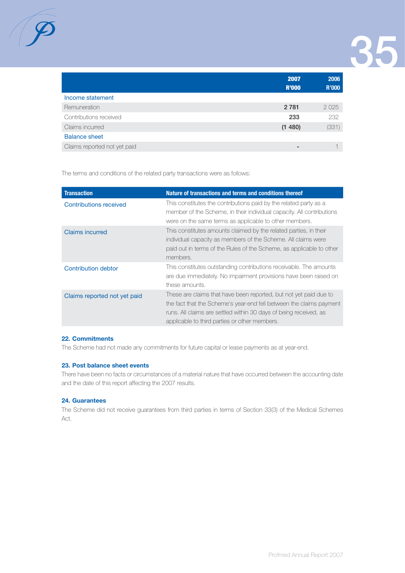



|                              | 2007<br><b>R'000</b> | 2006<br><b>R'000</b> |
|------------------------------|----------------------|----------------------|
| Income statement             |                      |                      |
| Remuneration                 | 2 7 8 1              | 2025                 |
| Contributions received       | 233                  | 232                  |
| Claims incurred              | (1480)               | (331)                |
| <b>Balance sheet</b>         |                      |                      |
| Claims reported not yet paid |                      |                      |
|                              |                      |                      |

The terms and conditions of the related party transactions were as follows:

| <b>Transaction</b>           | Nature of transactions and terms and conditions thereof                                                                                                                                                                                                        |
|------------------------------|----------------------------------------------------------------------------------------------------------------------------------------------------------------------------------------------------------------------------------------------------------------|
| Contributions received       | This constitutes the contributions paid by the related party as a<br>member of the Scheme, in their individual capacity. All contributions<br>were on the same terms as applicable to other members.                                                           |
| <b>Claims incurred</b>       | This constitutes amounts claimed by the related parties, in their<br>individual capacity as members of the Scheme. All claims were<br>paid out in terms of the Rules of the Scheme, as applicable to other<br>members.                                         |
| Contribution debtor          | This constitutes outstanding contributions receivable. The amounts<br>are due immediately. No impairment provisions have been raised on<br>these amounts.                                                                                                      |
| Claims reported not yet paid | These are claims that have been reported, but not yet paid due to<br>the fact that the Scheme's year-end fell between the claims payment<br>runs. All claims are settled within 30 days of being received, as<br>applicable to third parties or other members. |

#### **22. Commitments**

The Scheme had not made any commitments for future capital or lease payments as at year-end.

#### **23. Post balance sheet events**

There have been no facts or circumstances of a material nature that have occurred between the accounting date and the date of this report affecting the 2007 results.

#### **24. Guarantees**

The Scheme did not receive guarantees from third parties in terms of Section 33(3) of the Medical Schemes Act.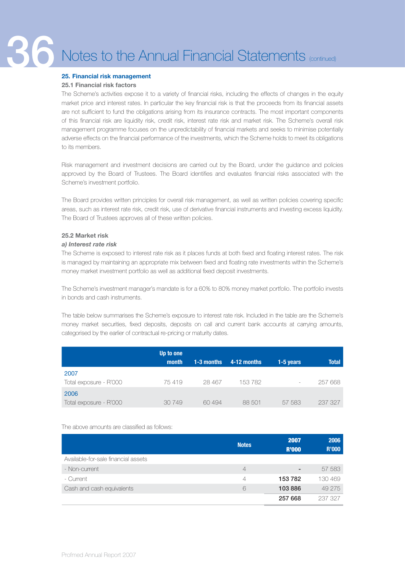#### **25. Financial risk management**

#### **25.1 Financial risk factors**

The Scheme's activities expose it to a variety of financial risks, including the effects of changes in the equity market price and interest rates. In particular the key financial risk is that the proceeds from its financial assets are not sufficient to fund the obligations arising from its insurance contracts. The most important components of this financial risk are liquidity risk, credit risk, interest rate risk and market risk. The Scheme's overall risk management programme focuses on the unpredictability of financial markets and seeks to minimise potentially adverse effects on the financial performance of the investments, which the Scheme holds to meet its obligations to its members.

Risk management and investment decisions are carried out by the Board, under the guidance and policies approved by the Board of Trustees. The Board identifies and evaluates financial risks associated with the Scheme's investment portfolio.

The Board provides written principles for overall risk management, as well as written policies covering specific areas, such as interest rate risk, credit risk, use of derivative financial instruments and investing excess liquidity. The Board of Trustees approves all of these written policies.

#### **25.2 Market risk**

#### *a) Interest rate risk*

The Scheme is exposed to interest rate risk as it places funds at both fixed and floating interest rates. The risk is managed by maintaining an appropriate mix between fixed and floating rate investments within the Scheme's money market investment portfolio as well as additional fixed deposit investments.

The Scheme's investment manager's mandate is for a 60% to 80% money market portfolio. The portfolio invests in bonds and cash instruments.

The table below summarises the Scheme's exposure to interest rate risk. Included in the table are the Scheme's money market securities, fixed deposits, deposits on call and current bank accounts at carrying amounts, categorised by the earlier of contractual re-pricing or maturity dates.

|                                | Up to one<br>month | 1-3 months | 4-12 months | 1-5 years | <b>Total</b> |
|--------------------------------|--------------------|------------|-------------|-----------|--------------|
| 2007<br>Total exposure - R'000 | 75419              | 28 467     | 153 782     | -         | 257 668      |
| 2006<br>Total exposure - R'000 | 30 749             | 60494      | 88 501      | 57 583    | 237 327      |

#### The above amounts are classified as follows:

|                                     | <b>Notes</b>   | 2007<br><b>R'000</b> | 2006<br><b>R'000</b> |
|-------------------------------------|----------------|----------------------|----------------------|
| Available-for-sale financial assets |                |                      |                      |
| - Non-current                       | $\overline{4}$ | -                    | 57 583               |
| - Current                           | 4              | 153 782              | 130 469              |
| Cash and cash equivalents           | 6              | 103886               | 49 275               |
|                                     |                | 257 668              | 237 327              |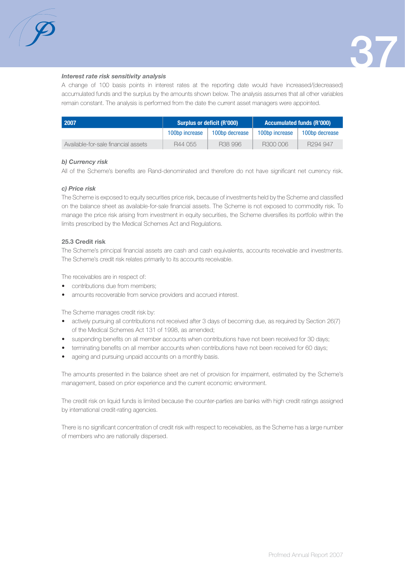



#### *Interest rate risk sensitivity analysis*

A change of 100 basis points in interest rates at the reporting date would have increased/(decreased) accumulated funds and the surplus by the amounts shown below. The analysis assumes that all other variables remain constant. The analysis is performed from the date the current asset managers were appointed.

| 2007                                | <b>Surplus or deficit (R'000)</b> |                |                | <b>Accumulated funds (R'000)</b> |
|-------------------------------------|-----------------------------------|----------------|----------------|----------------------------------|
|                                     | 100bp increase                    | 100bp decrease | 100bp increase | 100bp decrease                   |
| Available-for-sale financial assets | R44 055                           | R38,996        | B300,006       | R294 947                         |

#### *b) Currency risk*

All of the Scheme's benefits are Rand-denominated and therefore do not have significant net currency risk.

#### *c) Price risk*

The Scheme is exposed to equity securities price risk, because of investments held by the Scheme and classified on the balance sheet as available-for-sale financial assets. The Scheme is not exposed to commodity risk. To manage the price risk arising from investment in equity securities, the Scheme diversifies its portfolio within the limits prescribed by the Medical Schemes Act and Regulations.

#### **25.3 Credit risk**

The Scheme's principal financial assets are cash and cash equivalents, accounts receivable and investments. The Scheme's credit risk relates primarily to its accounts receivable.

The receivables are in respect of:

- contributions due from members;
- amounts recoverable from service providers and accrued interest.

The Scheme manages credit risk by:

- actively pursuing all contributions not received after 3 days of becoming due, as required by Section 26(7) of the Medical Schemes Act 131 of 1998, as amended;
- suspending benefits on all member accounts when contributions have not been received for 30 days;
- terminating benefits on all member accounts when contributions have not been received for 60 days;
- ageing and pursuing unpaid accounts on a monthly basis.

The amounts presented in the balance sheet are net of provision for impairment, estimated by the Scheme's management, based on prior experience and the current economic environment.

The credit risk on liquid funds is limited because the counter-parties are banks with high credit ratings assigned by international credit-rating agencies.

There is no significant concentration of credit risk with respect to receivables, as the Scheme has a large number of members who are nationally dispersed.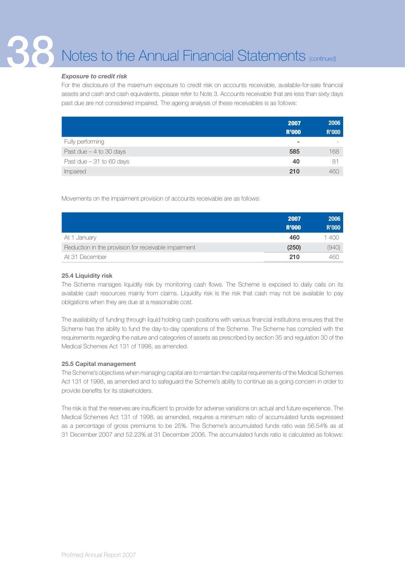#### *Exposure to credit risk*

For the disclosure of the maximum exposure to credit risk on accounts receivable, available-for-sale financial assets and cash and cash equivalents, please refer to Note 3. Accounts receivable that are less than sixty days past due are not considered impaired. The ageing analysis of these receivables is as follows:

|                           | 2007<br><b>R'000</b> | 2006<br><b>R'000</b> |
|---------------------------|----------------------|----------------------|
| Fully performing          | ۰                    |                      |
| Past due $-4$ to 30 days  | 585                  | 168                  |
| Past due $-31$ to 60 days | 40                   | 81                   |
| Impaired                  | 210                  | 460                  |

Movements on the impairment provision of accounts receivable are as follows:

|                                                      | 2007         | 2006         |
|------------------------------------------------------|--------------|--------------|
|                                                      | <b>R'000</b> | <b>R'000</b> |
| At 1 January                                         | 460          | 1 400        |
| Reduction in the provision for receivable impairment | (250)        | (940)        |
| At 31 December                                       | 210          | 460          |

#### **25.4 Liquidity risk**

The Scheme manages liquidity risk by monitoring cash flows. The Scheme is exposed to daily calls on its available cash resources mainly from claims. Liquidity risk is the risk that cash may not be available to pay obligations when they are due at a reasonable cost.

The availability of funding through liquid holding cash positions with various financial institutions ensures that the Scheme has the ability to fund the day-to-day operations of the Scheme. The Scheme has complied with the requirements regarding the nature and categories of assets as prescribed by section 35 and regulation 30 of the Medical Schemes Act 131 of 1998, as amended.

#### **25.5 Capital management**

The Scheme's objectives when managing capital are to maintain the capital requirements of the Medical Schemes Act 131 of 1998, as amended and to safeguard the Scheme's ability to continue as a going concern in order to provide benefits for its stakeholders.

The risk is that the reserves are insufficient to provide for adverse variations on actual and future experience. The Medical Schemes Act 131 of 1998, as amended, requires a minimum ratio of accumulated funds expressed as a percentage of gross premiums to be 25%. The Scheme's accumulated funds ratio was 56.54% as at 31 December 2007 and 52.23% at 31 December 2006. The accumulated funds ratio is calculated as follows: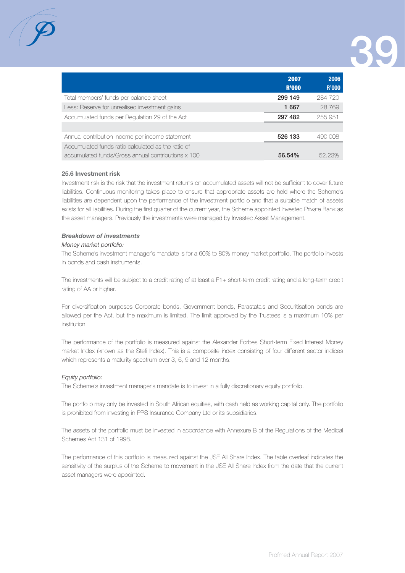



|                                                    | 2007<br><b>R'000</b> | 2006<br><b>R'000</b> |
|----------------------------------------------------|----------------------|----------------------|
| Total members' funds per balance sheet             | 299 149              | 284 720              |
| Less: Reserve for unrealised investment gains      | 1 667                | 28 7 69              |
| Accumulated funds per Regulation 29 of the Act     | 297 482              | 255951               |
|                                                    |                      |                      |
| Annual contribution income per income statement    | 526 133              | 490.008              |
| Accumulated funds ratio calculated as the ratio of |                      |                      |
| accumulated funds/Gross annual contributions x 100 | 56.54%               | 52.23%               |

#### **25.6 Investment risk**

Investment risk is the risk that the investment returns on accumulated assets will not be sufficient to cover future liabilities. Continuous monitoring takes place to ensure that appropriate assets are held where the Scheme's liabilities are dependent upon the performance of the investment portfolio and that a suitable match of assets exists for all liabilities. During the first quarter of the current year, the Scheme appointed Investec Private Bank as the asset managers. Previously the investments were managed by Investec Asset Management.

#### *Breakdown of investments*

#### *Money market portfolio:*

The Scheme's investment manager's mandate is for a 60% to 80% money market portfolio. The portfolio invests in bonds and cash instruments.

The investments will be subject to a credit rating of at least a F1+ short-term credit rating and a long-term credit rating of AA or higher.

For diversification purposes Corporate bonds, Government bonds, Parastatals and Securitisation bonds are allowed per the Act, but the maximum is limited. The limit approved by the Trustees is a maximum 10% per institution.

The performance of the portfolio is measured against the Alexander Forbes Short-term Fixed Interest Money market Index (known as the Stefi Index). This is a composite index consisting of four different sector indices which represents a maturity spectrum over 3, 6, 9 and 12 months.

#### *Equity portfolio:*

The Scheme's investment manager's mandate is to invest in a fully discretionary equity portfolio.

The portfolio may only be invested in South African equities, with cash held as working capital only. The portfolio is prohibited from investing in PPS Insurance Company Ltd or its subsidiaries.

The assets of the portfolio must be invested in accordance with Annexure B of the Regulations of the Medical Schemes Act 131 of 1998.

The performance of this portfolio is measured against the JSE All Share Index. The table overleaf indicates the sensitivity of the surplus of the Scheme to movement in the JSE All Share Index from the date that the current asset managers were appointed.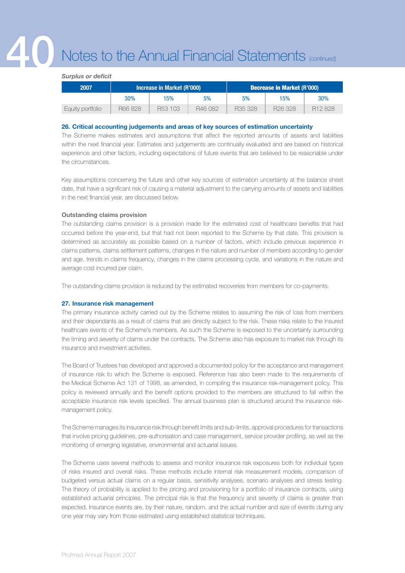**Surplus or deficit** 

| 2007             |        | Increase in Market (R'000) |        |                     | <b>Decrease in Market (R'000)</b> |                     |  |  |
|------------------|--------|----------------------------|--------|---------------------|-----------------------------------|---------------------|--|--|
|                  | 30%    | 15%                        | 5%     | 5%                  | <b>15%</b>                        | <b>30%</b>          |  |  |
| Equity portfolio | R66828 | R53 103                    | R46082 | R <sub>35</sub> 328 | R <sub>26</sub> 328               | R <sub>12</sub> 828 |  |  |

#### **26. Critical accounting judgements and areas of key sources of estimation uncertainty**

The Scheme makes estimates and assumptions that affect the reported amounts of assets and liabilities within the next financial year. Estimates and judgements are continually evaluated and are based on historical experience and other factors, including expectations of future events that are believed to be reasonable under the circumstances.

Key assumptions concerning the future and other key sources of estimation uncertainty at the balance sheet date, that have a significant risk of causing a material adjustment to the carrying amounts of assets and liabilities in the next financial year, are discussed below.

#### **Outstanding claims provision**

The outstanding claims provision is a provision made for the estimated cost of healthcare benefits that had occurred before the year-end, but that had not been reported to the Scheme by that date. This provision is determined as accurately as possible based on a number of factors, which include previous experience in claims patterns, claims settlement patterns, changes in the nature and number of members according to gender and age, trends in claims frequency, changes in the claims processing cycle, and variations in the nature and average cost incurred per claim.

The outstanding claims provision is reduced by the estimated recoveries from members for co-payments.

#### **27. Insurance risk management**

The primary insurance activity carried out by the Scheme relates to assuming the risk of loss from members and their dependants as a result of claims that are directly subject to the risk. These risks relate to the insured healthcare events of the Scheme's members. As such the Scheme is exposed to the uncertainty surrounding the timing and severity of claims under the contracts. The Scheme also has exposure to market risk through its insurance and investment activities.

The Board of Trustees has developed and approved a documented policy for the acceptance and management of insurance risk to which the Scheme is exposed. Reference has also been made to the requirements of the Medical Scheme Act 131 of 1998, as amended, in compiling the insurance risk-management policy. This policy is reviewed annually and the benefit options provided to the members are structured to fall within the acceptable insurance risk levels specified. The annual business plan is structured around the insurance riskmanagement policy.

The Scheme manages its insurance risk through benefit limits and sub-limits, approval procedures for transactions that involve pricing guidelines, pre-authorisation and case management, service provider profiling, as well as the monitoring of emerging legislative, environmental and actuarial issues.

The Scheme uses several methods to assess and monitor insurance risk exposures both for individual types of risks insured and overall risks. These methods include internal risk measurement models, comparison of budgeted versus actual claims on a regular basis, sensitivity analyses, scenario analyses and stress testing. The theory of probability is applied to the pricing and provisioning for a portfolio of insurance contracts, using established actuarial principles. The principal risk is that the frequency and severity of claims is greater than expected. Insurance events are, by their nature, random, and the actual number and size of events during any one year may vary from those estimated using established statistical techniques.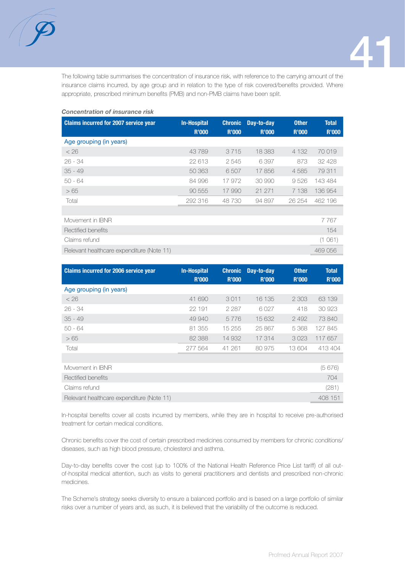

The following table summarises the concentration of insurance risk, with reference to the carrying amount of the insurance claims incurred, by age group and in relation to the type of risk covered/benefits provided. Where appropriate, prescribed minimum benefits (PMB) and non-PMB claims have been split.

| Concentration of Insurance risk              |                    |                |              |              |              |
|----------------------------------------------|--------------------|----------------|--------------|--------------|--------------|
| <b>Claims incurred for 2007 service year</b> | <b>In-Hospital</b> | <b>Chronic</b> | Day-to-day   | <b>Other</b> | <b>Total</b> |
|                                              | <b>R'000</b>       | <b>R'000</b>   | <b>R'000</b> | <b>R'000</b> | <b>R'000</b> |
| Age grouping (in years)                      |                    |                |              |              |              |
| < 26                                         | 43789              | 3715           | 18 383       | 4 1 3 2      | 70019        |
| $26 - 34$                                    | 22 613             | 2545           | 6 3 9 7      | 873          | 32 4 28      |
| $35 - 49$                                    | 50 363             | 6507           | 17856        | 4585         | 79 311       |
| $50 - 64$                                    | 84 996             | 17972          | 30 990       | 9526         | 143 484      |
| >65                                          | 90 555             | 17 990         | 21 271       | 7 1 3 8      | 136 954      |
| Total                                        | 292 316            | 48730          | 94 897       | 26 254       | 462 196      |
|                                              |                    |                |              |              |              |
| Movement in IBNR                             |                    |                |              |              | 7767         |
| Rectified benefits                           |                    |                |              |              | 154          |
| Claims refund                                |                    |                |              |              | (1061)       |
| Relevant healthcare expenditure (Note 11)    |                    |                |              |              | 469 056      |

#### *Concentration of insurance risk*

| <b>Claims incurred for 2006 service year</b> | <b>In-Hospital</b><br><b>R'000</b> | <b>Chronic</b><br><b>R'000</b> | Day-to-day<br><b>R'000</b> | <b>Other</b><br><b>R'000</b> | <b>Total</b><br><b>R'000</b> |
|----------------------------------------------|------------------------------------|--------------------------------|----------------------------|------------------------------|------------------------------|
| Age grouping (in years)                      |                                    |                                |                            |                              |                              |
| < 26                                         | 41 690                             | 3011                           | 16 135                     | 2 3 0 3                      | 63 139                       |
| $26 - 34$                                    | 22 191                             | 2 287                          | 6027                       | 418                          | 30 923                       |
| $35 - 49$                                    | 49 940                             | 5776                           | 15 632                     | 2492                         | 73 840                       |
| $50 - 64$                                    | 81 355                             | 15 255                         | 25 867                     | 5 3 6 8                      | 127845                       |
| >65                                          | 82 388                             | 14 932                         | 17 314                     | 3023                         | 117 657                      |
| Total                                        | 277 564                            | 41 261                         | 80 975                     | 13 604                       | 413 404                      |
|                                              |                                    |                                |                            |                              |                              |
| Movement in IBNR                             |                                    |                                |                            |                              | (5 676)                      |
| Rectified benefits                           |                                    |                                |                            |                              | 704                          |
| Claims refund                                |                                    |                                |                            |                              | (281)                        |
| Relevant healthcare expenditure (Note 11)    |                                    |                                |                            |                              | 408 151                      |

In-hospital benefits cover all costs incurred by members, while they are in hospital to receive pre-authorised treatment for certain medical conditions.

Chronic benefits cover the cost of certain prescribed medicines consumed by members for chronic conditions/ diseases, such as high blood pressure, cholesterol and asthma.

Day-to-day benefits cover the cost (up to 100% of the National Health Reference Price List tariff) of all outof-hospital medical attention, such as visits to general practitioners and dentists and prescribed non-chronic medicines.

The Scheme's strategy seeks diversity to ensure a balanced portfolio and is based on a large portfolio of similar risks over a number of years and, as such, it is believed that the variability of the outcome is reduced.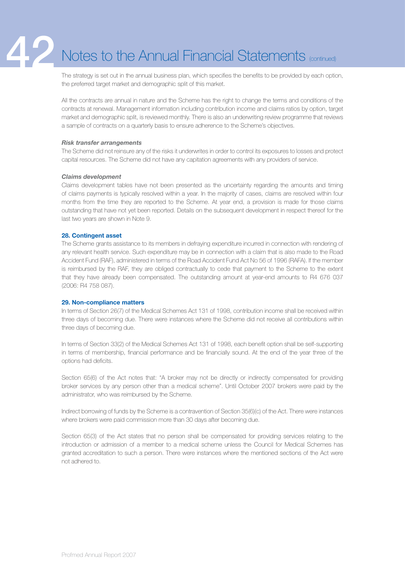The strategy is set out in the annual business plan, which specifies the benefits to be provided by each option, the preferred target market and demographic split of this market.

All the contracts are annual in nature and the Scheme has the right to change the terms and conditions of the contracts at renewal. Management information including contribution income and claims ratios by option, target market and demographic split, is reviewed monthly. There is also an underwriting review programme that reviews a sample of contracts on a quarterly basis to ensure adherence to the Scheme's objectives.

#### *Risk transfer arrangements*

The Scheme did not reinsure any of the risks it underwrites in order to control its exposures to losses and protect capital resources. The Scheme did not have any capitation agreements with any providers of service.

#### *Claims development*

**42**

Claims development tables have not been presented as the uncertainty regarding the amounts and timing of claims payments is typically resolved within a year. In the majority of cases, claims are resolved within four months from the time they are reported to the Scheme. At year end, a provision is made for those claims outstanding that have not yet been reported. Details on the subsequent development in respect thereof for the last two years are shown in Note 9.

#### **28. Contingent asset**

The Scheme grants assistance to its members in defraying expenditure incurred in connection with rendering of any relevant health service. Such expenditure may be in connection with a claim that is also made to the Road Accident Fund (RAF), administered in terms of the Road Accident Fund Act No 56 of 1996 (RAFA). If the member is reimbursed by the RAF, they are obliged contractually to cede that payment to the Scheme to the extent that they have already been compensated. The outstanding amount at year-end amounts to R4 676 037 (2006: R4 758 087).

#### **29. Non-compliance matters**

In terms of Section 26(7) of the Medical Schemes Act 131 of 1998, contribution income shall be received within three days of becoming due. There were instances where the Scheme did not receive all contributions within three days of becoming due.

In terms of Section 33(2) of the Medical Schemes Act 131 of 1998, each benefi t option shall be self-supporting in terms of membership, financial performance and be financially sound. At the end of the year three of the options had deficits.

Section 65(6) of the Act notes that: "A broker may not be directly or indirectly compensated for providing broker services by any person other than a medical scheme". Until October 2007 brokers were paid by the administrator, who was reimbursed by the Scheme.

Indirect borrowing of funds by the Scheme is a contravention of Section 35(6)(c) of the Act. There were instances where brokers were paid commission more than 30 days after becoming due.

Section 65(3) of the Act states that no person shall be compensated for providing services relating to the introduction or admission of a member to a medical scheme unless the Council for Medical Schemes has granted accreditation to such a person. There were instances where the mentioned sections of the Act were not adhered to.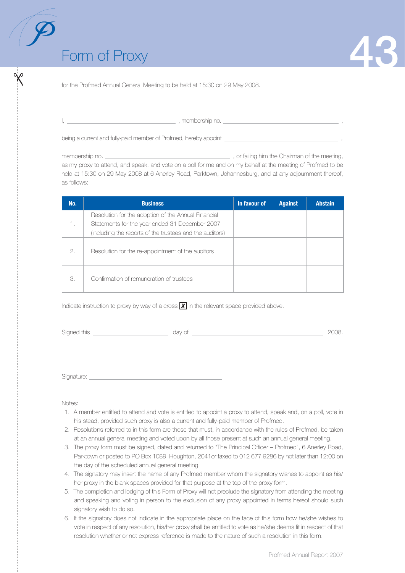for the Profmed Annual General Meeting to be held at 15:30 on 29 May 2008.

I, , membership no. , being a current and fully-paid member of Profmed, hereby appoint

membership no.  $\frac{1}{100}$  not failing him the Chairman of the meeting, as my proxy to attend, and speak, and vote on a poll for me and on my behalf at the meeting of Profmed to be held at 15:30 on 29 May 2008 at 6 Anerley Road, Parktown, Johannesburg, and at any adjournment thereof, as follows:

| No. | <b>Business</b>                                                                                                                                                   | In favour of | <b>Against</b> | <b>Abstain</b> |
|-----|-------------------------------------------------------------------------------------------------------------------------------------------------------------------|--------------|----------------|----------------|
| 1.  | Resolution for the adoption of the Annual Financial<br>Statements for the year ended 31 December 2007<br>(including the reports of the trustees and the auditors) |              |                |                |
| 2.  | Resolution for the re-appointment of the auditors                                                                                                                 |              |                |                |
| 3.  | Confirmation of remuneration of trustees                                                                                                                          |              |                |                |

Indicate instruction to proxy by way of a cross  $\boxed{\mathbf{X}}$  in the relevant space provided above.

| Signed this |        | ാററു  |
|-------------|--------|-------|
|             | dav ot | LUUU. |

Signature: **Signature:** 

Notes:

- 1. A member entitled to attend and vote is entitled to appoint a proxy to attend, speak and, on a poll, vote in his stead, provided such proxy is also a current and fully-paid member of Profmed.
- 2. Resolutions referred to in this form are those that must, in accordance with the rules of Profmed, be taken at an annual general meeting and voted upon by all those present at such an annual general meeting.
- 3. The proxy form must be signed, dated and returned to "The Principal Officer Profmed", 6 Anerley Road, Parktown or posted to PO Box 1089, Houghton, 2041or faxed to 012 677 9286 by not later than 12:00 on the day of the scheduled annual general meeting.
- 4. The signatory may insert the name of any Profmed member whom the signatory wishes to appoint as his/ her proxy in the blank spaces provided for that purpose at the top of the proxy form.
- 5. The completion and lodging of this Form of Proxy will not preclude the signatory from attending the meeting and speaking and voting in person to the exclusion of any proxy appointed in terms hereof should such signatory wish to do so.
- 6. If the signatory does not indicate in the appropriate place on the face of this form how he/she wishes to vote in respect of any resolution, his/her proxy shall be entitled to vote as he/she deems fit in respect of that resolution whether or not express reference is made to the nature of such a resolution in this form.